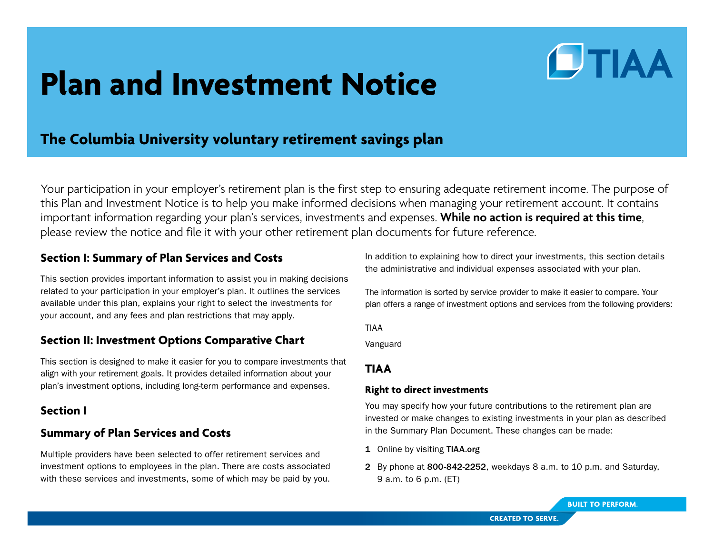# **Plan and Investment Notice**

# **The Columbia University voluntary retirement savings plan**

Your participation in your employer's retirement plan is the first step to ensuring adequate retirement income. The purpose of this Plan and Investment Notice is to help you make informed decisions when managing your retirement account. It contains important information regarding your plan's services, investments and expenses. **While no action is required at this time**, please review the notice and file it with your other retirement plan documents for future reference.

## **Section I: Summary of Plan Services and Costs**

This section provides important information to assist you in making decisions related to your participation in your employer's plan. It outlines the services available under this plan, explains your right to select the investments for your account, and any fees and plan restrictions that may apply.

## **Section II: Investment Options Comparative Chart**

This section is designed to make it easier for you to compare investments that align with your retirement goals. It provides detailed information about your plan's investment options, including long-term performance and expenses.

## **Section I**

# **Summary of Plan Services and Costs**

Multiple providers have been selected to offer retirement services and investment options to employees in the plan. There are costs associated with these services and investments, some of which may be paid by you.

In addition to explaining how to direct your investments, this section details the administrative and individual expenses associated with your plan.

**DTIAA** 

The information is sorted by service provider to make it easier to compare. Your plan offers a range of investment options and services from the following providers:

TIAA

Vanguard

## **TIAA**

## **Right to direct investments**

You may specify how your future contributions to the retirement plan are invested or make changes to existing investments in your plan as described in the Summary Plan Document. These changes can be made:

- 1 Online by visiting TIAA.org
- 2 By phone at 800-842-2252, weekdays 8 a.m. to 10 p.m. and Saturday, 9 a.m. to 6 p.m. (ET)

**BUILT TO PERFORM.**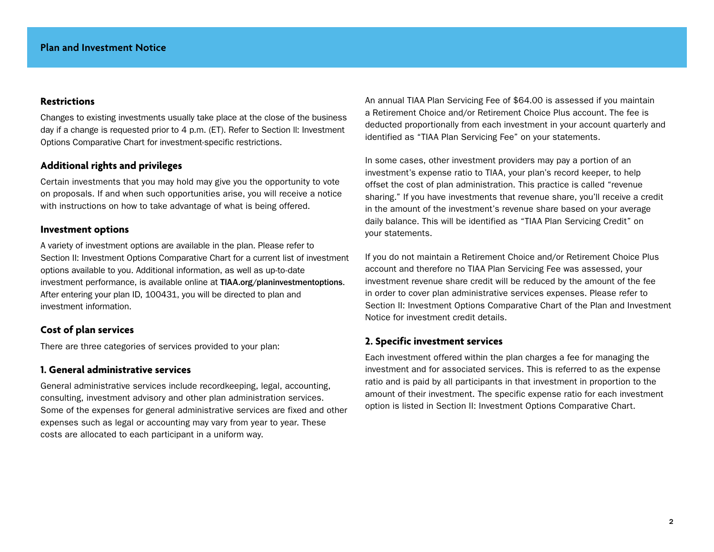#### **Restrictions**

Changes to existing investments usually take place at the close of the business day if a change is requested prior to 4 p.m. (ET). Refer to Section ll: Investment Options Comparative Chart for investment-specific restrictions.

#### **Additional rights and privileges**

Certain investments that you may hold may give you the opportunity to vote on proposals. If and when such opportunities arise, you will receive a notice with instructions on how to take advantage of what is being offered.

#### **Investment options**

A variety of investment options are available in the plan. Please refer to Section II: Investment Options Comparative Chart for a current list of investment options available to you. Additional information, as well as up-to-date investment performance, is available online at TIAA.org/planinvestmentoptions. After entering your plan ID, 100431, you will be directed to plan and investment information.

## **Cost of plan services**

There are three categories of services provided to your plan:

#### **1. General administrative services**

General administrative services include recordkeeping, legal, accounting, consulting, investment advisory and other plan administration services. Some of the expenses for general administrative services are fixed and other expenses such as legal or accounting may vary from year to year. These costs are allocated to each participant in a uniform way.

An annual TIAA Plan Servicing Fee of \$64.00 is assessed if you maintain a Retirement Choice and/or Retirement Choice Plus account. The fee is deducted proportionally from each investment in your account quarterly and identified as "TIAA Plan Servicing Fee" on your statements.

In some cases, other investment providers may pay a portion of an investment's expense ratio to TIAA, your plan's record keeper, to help offset the cost of plan administration. This practice is called "revenue sharing." If you have investments that revenue share, you'll receive a credit in the amount of the investment's revenue share based on your average daily balance. This will be identified as "TIAA Plan Servicing Credit" on your statements.

If you do not maintain a Retirement Choice and/or Retirement Choice Plus account and therefore no TIAA Plan Servicing Fee was assessed, your investment revenue share credit will be reduced by the amount of the fee in order to cover plan administrative services expenses. Please refer to Section II: Investment Options Comparative Chart of the Plan and Investment Notice for investment credit details.

#### **2. Specific investment services**

Each investment offered within the plan charges a fee for managing the investment and for associated services. This is referred to as the expense ratio and is paid by all participants in that investment in proportion to the amount of their investment. The specific expense ratio for each investment option is listed in Section II: Investment Options Comparative Chart.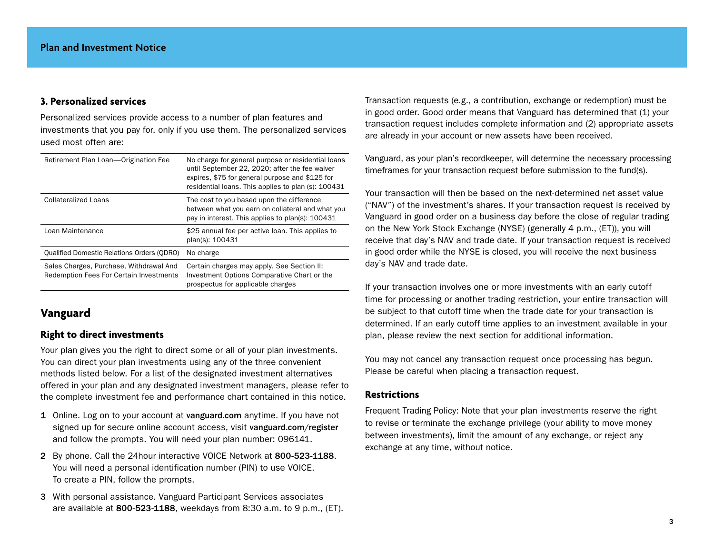## **3. Personalized services**

Personalized services provide access to a number of plan features and investments that you pay for, only if you use them. The personalized services used most often are:

| Retirement Plan Loan-Origination Fee                                                      | No charge for general purpose or residential loans<br>until September 22, 2020; after the fee waiver<br>expires, \$75 for general purpose and \$125 for<br>residential loans. This applies to plan (s): 100431 |
|-------------------------------------------------------------------------------------------|----------------------------------------------------------------------------------------------------------------------------------------------------------------------------------------------------------------|
| <b>Collateralized Loans</b>                                                               | The cost to you based upon the difference<br>between what you earn on collateral and what you<br>pay in interest. This applies to plan(s): 100431                                                              |
| Loan Maintenance                                                                          | \$25 annual fee per active loan. This applies to<br>plan(s): 100431                                                                                                                                            |
| <b>Qualified Domestic Relations Orders (QDRO)</b>                                         | No charge                                                                                                                                                                                                      |
| Sales Charges, Purchase, Withdrawal And<br><b>Redemption Fees For Certain Investments</b> | Certain charges may apply. See Section II:<br>Investment Options Comparative Chart or the<br>prospectus for applicable charges                                                                                 |

## **Vanguard**

## **Right to direct investments**

Your plan gives you the right to direct some or all of your plan investments. You can direct your plan investments using any of the three convenient methods listed below. For a list of the designated investment alternatives offered in your plan and any designated investment managers, please refer to the complete investment fee and performance chart contained in this notice.

- 1 Online. Log on to your account at vanguard.com anytime. If you have not signed up for secure online account access, visit vanguard.com/register and follow the prompts. You will need your plan number: 096141.
- 2 By phone. Call the 24hour interactive VOICE Network at 800-523-1188. You will need a personal identification number (PIN) to use VOICE. To create a PIN, follow the prompts.
- 3 With personal assistance. Vanguard Participant Services associates are available at 800-523-1188, weekdays from 8:30 a.m. to 9 p.m., (ET).

Transaction requests (e.g., a contribution, exchange or redemption) must be in good order. Good order means that Vanguard has determined that (1) your transaction request includes complete information and (2) appropriate assets are already in your account or new assets have been received.

Vanguard, as your plan's recordkeeper, will determine the necessary processing timeframes for your transaction request before submission to the fund(s).

Your transaction will then be based on the next-determined net asset value ("NAV") of the investment's shares. If your transaction request is received by Vanguard in good order on a business day before the close of regular trading on the New York Stock Exchange (NYSE) (generally 4 p.m., (ET)), you will receive that day's NAV and trade date. If your transaction request is received in good order while the NYSE is closed, you will receive the next business day's NAV and trade date.

If your transaction involves one or more investments with an early cutoff time for processing or another trading restriction, your entire transaction will be subject to that cutoff time when the trade date for your transaction is determined. If an early cutoff time applies to an investment available in your plan, please review the next section for additional information.

You may not cancel any transaction request once processing has begun. Please be careful when placing a transaction request.

#### **Restrictions**

Frequent Trading Policy: Note that your plan investments reserve the right to revise or terminate the exchange privilege (your ability to move money between investments), limit the amount of any exchange, or reject any exchange at any time, without notice.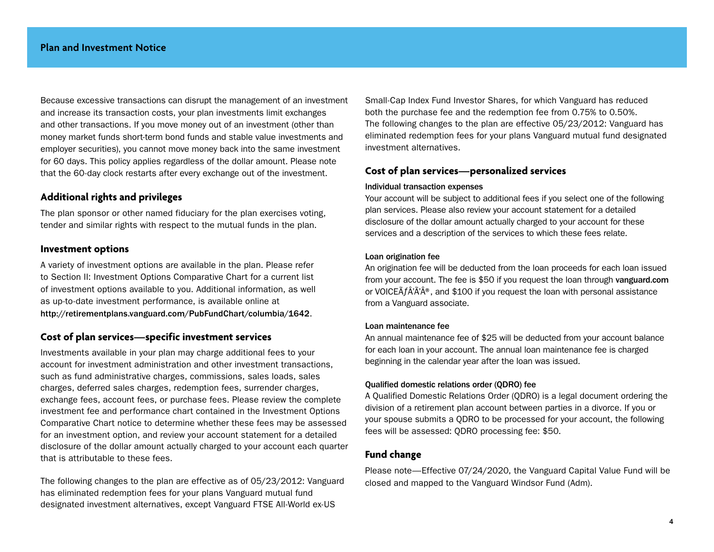Because excessive transactions can disrupt the management of an investment and increase its transaction costs, your plan investments limit exchanges and other transactions. If you move money out of an investment (other than money market funds short-term bond funds and stable value investments and employer securities), you cannot move money back into the same investment for 60 days. This policy applies regardless of the dollar amount. Please note that the 60-day clock restarts after every exchange out of the investment.

## **Additional rights and privileges**

The plan sponsor or other named fiduciary for the plan exercises voting, tender and similar rights with respect to the mutual funds in the plan.

#### **Investment options**

A variety of investment options are available in the plan. Please refer to Section II: Investment Options Comparative Chart for a current list of investment options available to you. Additional information, as well as up-to-date investment performance, is available online at http://retirementplans.vanguard.com/PubFundChart/columbia/1642.

#### **Cost of plan services—specific investment services**

Investments available in your plan may charge additional fees to your account for investment administration and other investment transactions, such as fund administrative charges, commissions, sales loads, sales charges, deferred sales charges, redemption fees, surrender charges, exchange fees, account fees, or purchase fees. Please review the complete investment fee and performance chart contained in the Investment Options Comparative Chart notice to determine whether these fees may be assessed for an investment option, and review your account statement for a detailed disclosure of the dollar amount actually charged to your account each quarter that is attributable to these fees.

The following changes to the plan are effective as of 05/23/2012: Vanguard has eliminated redemption fees for your plans Vanguard mutual fund designated investment alternatives, except Vanguard FTSE All-World ex-US

Small-Cap Index Fund Investor Shares, for which Vanguard has reduced both the purchase fee and the redemption fee from 0.75% to 0.50%. The following changes to the plan are effective 05/23/2012: Vanguard has eliminated redemption fees for your plans Vanguard mutual fund designated investment alternatives.

## **Cost of plan services—personalized services**

#### Individual transaction expenses

Your account will be subject to additional fees if you select one of the following plan services. Please also review your account statement for a detailed disclosure of the dollar amount actually charged to your account for these services and a description of the services to which these fees relate.

#### Loan origination fee

An origination fee will be deducted from the loan proceeds for each loan issued from your account. The fee is \$50 if you request the loan through vanguard.com or VOICE $\tilde{A}f\hat{A}'\tilde{A}^{\circledast}$ , and \$100 if you request the loan with personal assistance from a Vanguard associate.

#### Loan maintenance fee

An annual maintenance fee of \$25 will be deducted from your account balance for each loan in your account. The annual loan maintenance fee is charged beginning in the calendar year after the loan was issued.

#### Qualified domestic relations order (QDRO) fee

A Qualified Domestic Relations Order (QDRO) is a legal document ordering the division of a retirement plan account between parties in a divorce. If you or your spouse submits a QDRO to be processed for your account, the following fees will be assessed: QDRO processing fee: \$50.

## **Fund change**

Please note—Effective 07/24/2020, the Vanguard Capital Value Fund will be closed and mapped to the Vanguard Windsor Fund (Adm).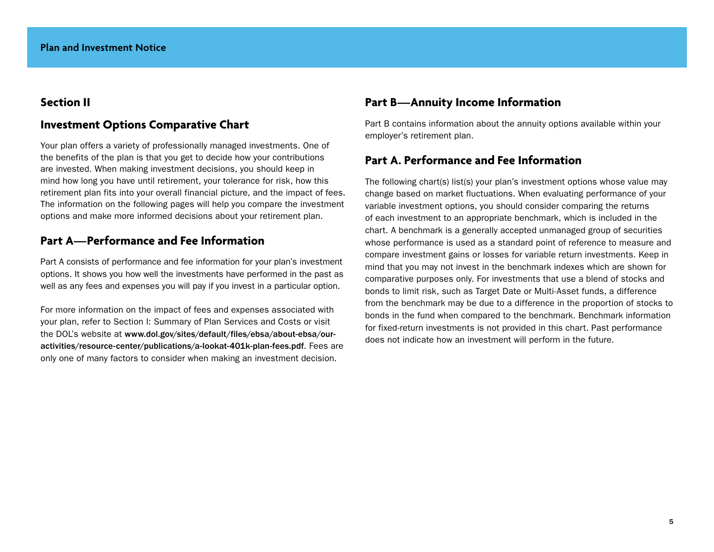## **Section II**

## **Investment Options Comparative Chart**

Your plan offers a variety of professionally managed investments. One of the benefits of the plan is that you get to decide how your contributions are invested. When making investment decisions, you should keep in mind how long you have until retirement, your tolerance for risk, how this retirement plan fits into your overall financial picture, and the impact of fees. The information on the following pages will help you compare the investment options and make more informed decisions about your retirement plan.

## **Part A—Performance and Fee Information**

Part A consists of performance and fee information for your plan's investment options. It shows you how well the investments have performed in the past as well as any fees and expenses you will pay if you invest in a particular option.

For more information on the impact of fees and expenses associated with your plan, refer to Section I: Summary of Plan Services and Costs or visit the DOL's website at www.dol.gov/sites/default/files/ebsa/about-ebsa/ouractivities/resource-center/publications/a-lookat-401k-plan-fees.pdf. Fees are only one of many factors to consider when making an investment decision.

## **Part B—Annuity Income Information**

Part B contains information about the annuity options available within your employer's retirement plan.

## **Part A. Performance and Fee Information**

The following chart(s) list(s) your plan's investment options whose value may change based on market fluctuations. When evaluating performance of your variable investment options, you should consider comparing the returns of each investment to an appropriate benchmark, which is included in the chart. A benchmark is a generally accepted unmanaged group of securities whose performance is used as a standard point of reference to measure and compare investment gains or losses for variable return investments. Keep in mind that you may not invest in the benchmark indexes which are shown for comparative purposes only. For investments that use a blend of stocks and bonds to limit risk, such as Target Date or Multi-Asset funds, a difference from the benchmark may be due to a difference in the proportion of stocks to bonds in the fund when compared to the benchmark. Benchmark information for fixed-return investments is not provided in this chart. Past performance does not indicate how an investment will perform in the future.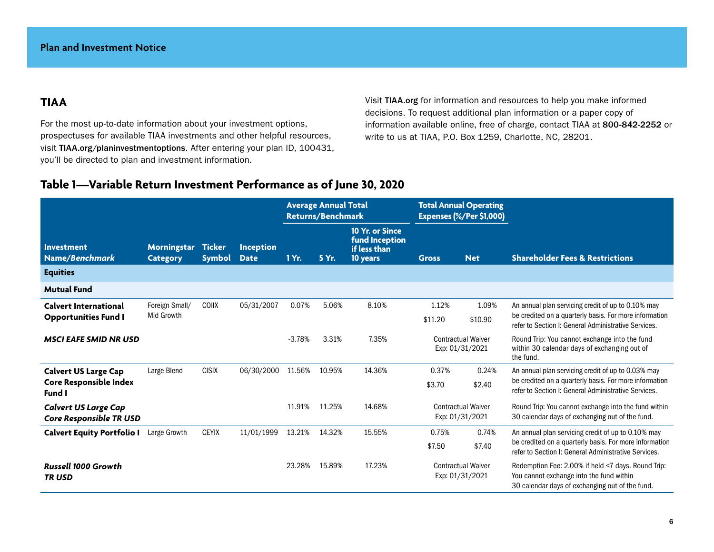# **TIAA**

For the most up-to-date information about your investment options, prospectuses for available TIAA investments and other helpful resources, visit TIAA.org/planinvestmentoptions. After entering your plan ID, 100431, you'll be directed to plan and investment information.

Visit TIAA.org for information and resources to help you make informed decisions. To request additional plan information or a paper copy of information available online, free of charge, contact TIAA at 800-842-2252 or write to us at TIAA, P.O. Box 1259, Charlotte, NC, 28201.

## **Table 1—Variable Return Investment Performance as of June 30, 2020**

|                                                             |                                       |                                |                                 | <b>Average Annual Total</b><br><b>Returns/Benchmark</b> |        |                                                               | <b>Total Annual Operating</b><br>Expenses (%/Per \$1,000) |                                              |                                                                                                                                                                      |
|-------------------------------------------------------------|---------------------------------------|--------------------------------|---------------------------------|---------------------------------------------------------|--------|---------------------------------------------------------------|-----------------------------------------------------------|----------------------------------------------|----------------------------------------------------------------------------------------------------------------------------------------------------------------------|
| <b>Investment</b><br>Name/Benchmark                         | <b>Morningstar</b><br><b>Category</b> | <b>Ticker</b><br><b>Symbol</b> | <b>Inception</b><br><b>Date</b> | 1 Yr.                                                   | 5 Yr.  | 10 Yr. or Since<br>fund Inception<br>if less than<br>10 years | <b>Gross</b>                                              | <b>Net</b>                                   | <b>Shareholder Fees &amp; Restrictions</b>                                                                                                                           |
| <b>Equities</b>                                             |                                       |                                |                                 |                                                         |        |                                                               |                                                           |                                              |                                                                                                                                                                      |
| <b>Mutual Fund</b>                                          |                                       |                                |                                 |                                                         |        |                                                               |                                                           |                                              |                                                                                                                                                                      |
| <b>Calvert International</b><br><b>Opportunities Fund I</b> | Foreign Small/<br>Mid Growth          | <b>COIIX</b>                   | 05/31/2007                      | 0.07%                                                   | 5.06%  | 8.10%                                                         | 1.12%<br>\$11.20                                          | 1.09%<br>\$10.90                             | An annual plan servicing credit of up to 0.10% may<br>be credited on a quarterly basis. For more information<br>refer to Section I: General Administrative Services. |
| <b>MSCI EAFE SMID NR USD</b>                                |                                       |                                |                                 | $-3.78%$                                                | 3.31%  | 7.35%                                                         |                                                           | <b>Contractual Waiver</b><br>Exp: 01/31/2021 | Round Trip: You cannot exchange into the fund<br>within 30 calendar days of exchanging out of<br>the fund.                                                           |
| <b>Calvert US Large Cap</b>                                 | Large Blend                           | <b>CISIX</b>                   | 06/30/2000                      | 11.56%                                                  | 10.95% | 14.36%                                                        | 0.37%                                                     | 0.24%                                        | An annual plan servicing credit of up to 0.03% may                                                                                                                   |
| <b>Core Responsible Index</b><br>Fund I                     |                                       |                                |                                 |                                                         |        |                                                               | \$3.70                                                    | \$2.40                                       | be credited on a quarterly basis. For more information<br>refer to Section I: General Administrative Services.                                                       |
| <b>Calvert US Large Cap</b><br>Core Responsible TR USD      |                                       |                                |                                 | 11.91%                                                  | 11.25% | 14.68%                                                        |                                                           | <b>Contractual Waiver</b><br>Exp: 01/31/2021 | Round Trip: You cannot exchange into the fund within<br>30 calendar days of exchanging out of the fund.                                                              |
| <b>Calvert Equity Portfolio I</b>                           | Large Growth                          | <b>CEYIX</b>                   | 11/01/1999                      | 13.21%                                                  | 14.32% | 15.55%                                                        | 0.75%                                                     | 0.74%                                        | An annual plan servicing credit of up to 0.10% may                                                                                                                   |
|                                                             |                                       |                                |                                 |                                                         |        |                                                               | \$7.50                                                    | \$7.40                                       | be credited on a quarterly basis. For more information<br>refer to Section I: General Administrative Services.                                                       |
| <b>Russell 1000 Growth</b><br><b>TRUSD</b>                  |                                       |                                |                                 | 23.28%                                                  | 15.89% | 17.23%                                                        |                                                           | <b>Contractual Waiver</b><br>Exp: 01/31/2021 | Redemption Fee: 2.00% if held <7 days. Round Trip:<br>You cannot exchange into the fund within<br>30 calendar days of exchanging out of the fund.                    |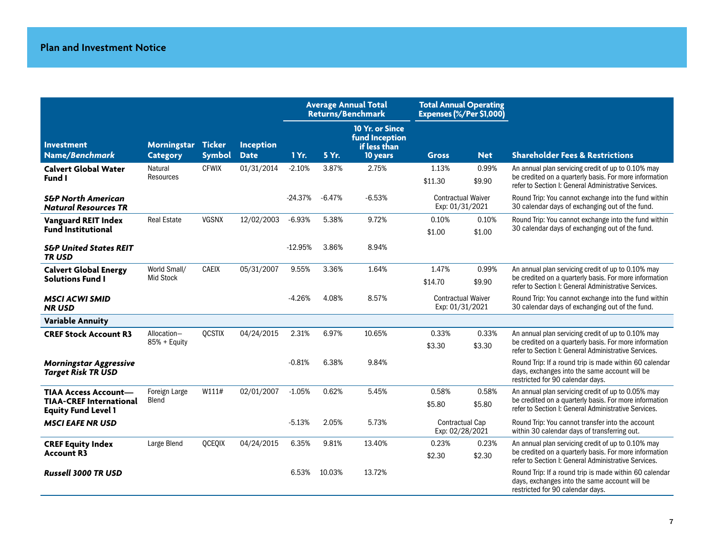|                                                              |                                       |               |                                 |           | <b>Average Annual Total</b><br><b>Returns/Benchmark</b> |                                                                      | <b>Total Annual Operating</b><br>Expenses (%/Per \$1,000) |                 |                                                                                                                                                                      |
|--------------------------------------------------------------|---------------------------------------|---------------|---------------------------------|-----------|---------------------------------------------------------|----------------------------------------------------------------------|-----------------------------------------------------------|-----------------|----------------------------------------------------------------------------------------------------------------------------------------------------------------------|
| <b>Investment</b><br>Name/Benchmark                          | Morningstar Ticker<br><b>Category</b> | <b>Symbol</b> | <b>Inception</b><br><b>Date</b> | 1 Yr.     | 5 Yr.                                                   | <b>10 Yr. or Since</b><br>fund Inception<br>if less than<br>10 years | <b>Gross</b>                                              | <b>Net</b>      | <b>Shareholder Fees &amp; Restrictions</b>                                                                                                                           |
| <b>Calvert Global Water</b><br>Fund I                        | Natural<br>Resources                  | <b>CFWIX</b>  | 01/31/2014                      | $-2.10%$  | 3.87%                                                   | 2.75%                                                                | 1.13%<br>\$11.30                                          | 0.99%<br>\$9.90 | An annual plan servicing credit of up to 0.10% may<br>be credited on a quarterly basis. For more information<br>refer to Section I: General Administrative Services. |
| <b>S&amp;P North American</b><br><b>Natural Resources TR</b> |                                       |               |                                 | $-24.37%$ | $-6.47%$                                                | $-6.53%$                                                             | <b>Contractual Waiver</b><br>Exp: 01/31/2021              |                 | Round Trip: You cannot exchange into the fund within<br>30 calendar days of exchanging out of the fund.                                                              |
| <b>Vanguard REIT Index</b>                                   | <b>Real Estate</b>                    | <b>VGSNX</b>  | 12/02/2003                      | $-6.93%$  | 5.38%                                                   | 9.72%                                                                | 0.10%                                                     | 0.10%           | Round Trip: You cannot exchange into the fund within                                                                                                                 |
| <b>Fund Institutional</b>                                    |                                       |               |                                 |           |                                                         |                                                                      | \$1.00                                                    | \$1.00          | 30 calendar days of exchanging out of the fund.                                                                                                                      |
| <b>S&amp;P United States REIT</b><br><b>TRUSD</b>            |                                       |               |                                 | $-12.95%$ | 3.86%                                                   | 8.94%                                                                |                                                           |                 |                                                                                                                                                                      |
| <b>Calvert Global Energy</b>                                 | World Small/                          | <b>CAEIX</b>  | 05/31/2007                      | 9.55%     | 3.36%                                                   | 1.64%                                                                | 1.47%                                                     | 0.99%           | An annual plan servicing credit of up to 0.10% may                                                                                                                   |
| <b>Solutions Fund I</b>                                      | <b>Mid Stock</b>                      |               |                                 |           |                                                         |                                                                      | \$14.70                                                   | \$9.90          | be credited on a quarterly basis. For more information<br>refer to Section I: General Administrative Services.                                                       |
| <b>MSCI ACWI SMID</b><br><b>NRUSD</b>                        |                                       |               |                                 | $-4.26%$  | 4.08%                                                   | 8.57%                                                                | <b>Contractual Waiver</b><br>Exp: 01/31/2021              |                 | Round Trip: You cannot exchange into the fund within<br>30 calendar days of exchanging out of the fund.                                                              |
| <b>Variable Annuity</b>                                      |                                       |               |                                 |           |                                                         |                                                                      |                                                           |                 |                                                                                                                                                                      |
| <b>CREF Stock Account R3</b>                                 | Allocation-                           | <b>QCSTIX</b> | 04/24/2015                      | 2.31%     | 6.97%                                                   | 10.65%                                                               | 0.33%                                                     | 0.33%           | An annual plan servicing credit of up to 0.10% may                                                                                                                   |
|                                                              | 85% + Equity                          |               |                                 |           |                                                         |                                                                      | \$3.30                                                    | \$3.30          | be credited on a quarterly basis. For more information<br>refer to Section I: General Administrative Services.                                                       |
| <b>Morningstar Aggressive</b><br><b>Target Risk TR USD</b>   |                                       |               |                                 | $-0.81%$  | 6.38%                                                   | 9.84%                                                                |                                                           |                 | Round Trip: If a round trip is made within 60 calendar<br>days, exchanges into the same account will be<br>restricted for 90 calendar days.                          |
| <b>TIAA Access Account-</b>                                  | Foreign Large                         | W111#         | 02/01/2007                      | $-1.05%$  | 0.62%                                                   | 5.45%                                                                | 0.58%                                                     | 0.58%           | An annual plan servicing credit of up to 0.05% may                                                                                                                   |
| <b>TIAA-CREF International</b><br><b>Equity Fund Level 1</b> | Blend                                 |               |                                 |           |                                                         |                                                                      | \$5.80                                                    | \$5.80          | be credited on a quarterly basis. For more information<br>refer to Section I: General Administrative Services.                                                       |
| <b>MSCI EAFE NR USD</b>                                      |                                       |               |                                 | $-5.13%$  | 2.05%                                                   | 5.73%                                                                | <b>Contractual Cap</b><br>Exp: 02/28/2021                 |                 | Round Trip: You cannot transfer into the account<br>within 30 calendar days of transferring out.                                                                     |
| <b>CREF Equity Index</b>                                     | Large Blend                           | QCEQIX        | 04/24/2015                      | 6.35%     | 9.81%                                                   | 13.40%                                                               | 0.23%                                                     | 0.23%           | An annual plan servicing credit of up to 0.10% may                                                                                                                   |
| <b>Account R3</b>                                            |                                       |               |                                 |           |                                                         |                                                                      | \$2.30                                                    | \$2.30          | be credited on a quarterly basis. For more information<br>refer to Section I: General Administrative Services.                                                       |
| <b>Russell 3000 TR USD</b>                                   |                                       |               |                                 | 6.53%     | 10.03%                                                  | 13.72%                                                               |                                                           |                 | Round Trip: If a round trip is made within 60 calendar<br>days, exchanges into the same account will be<br>restricted for 90 calendar days.                          |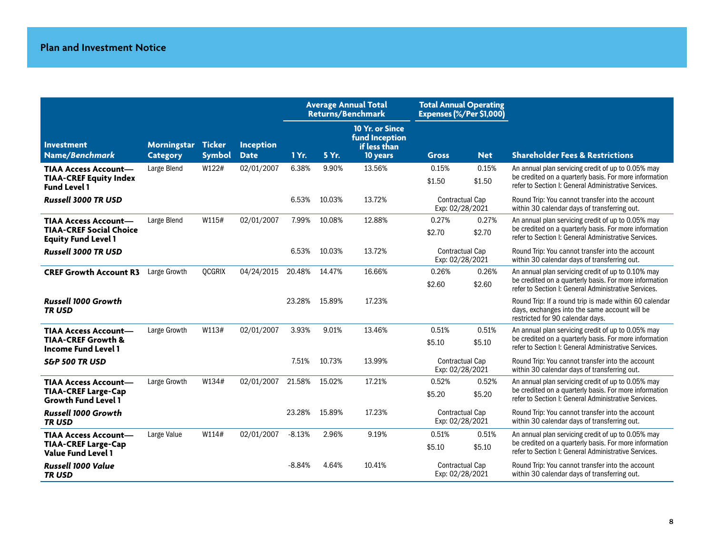|                                                                                     |                                       |               |                                 |          | <b>Average Annual Total</b><br><b>Returns/Benchmark</b> |                                                               | <b>Total Annual Operating</b><br>Expenses (%/Per \$1,000) |                 |                                                                                                                                                                      |  |
|-------------------------------------------------------------------------------------|---------------------------------------|---------------|---------------------------------|----------|---------------------------------------------------------|---------------------------------------------------------------|-----------------------------------------------------------|-----------------|----------------------------------------------------------------------------------------------------------------------------------------------------------------------|--|
| <b>Investment</b><br>Name/Benchmark                                                 | Morningstar Ticker<br><b>Category</b> | <b>Symbol</b> | <b>Inception</b><br><b>Date</b> | 1 Yr.    | 5 Yr.                                                   | 10 Yr. or Since<br>fund Inception<br>if less than<br>10 years | <b>Gross</b>                                              | <b>Net</b>      | <b>Shareholder Fees &amp; Restrictions</b>                                                                                                                           |  |
| <b>TIAA Access Account-</b><br><b>TIAA-CREF Equity Index</b><br><b>Fund Level 1</b> | Large Blend                           | W122#         | 02/01/2007                      | 6.38%    | 9.90%                                                   | 13.56%                                                        | 0.15%<br>\$1.50                                           | 0.15%<br>\$1.50 | An annual plan servicing credit of up to 0.05% may<br>be credited on a quarterly basis. For more information<br>refer to Section I: General Administrative Services. |  |
| <b>Russell 3000 TR USD</b>                                                          |                                       |               |                                 | 6.53%    | 10.03%                                                  | 13.72%                                                        | <b>Contractual Cap</b><br>Exp: 02/28/2021                 |                 | Round Trip: You cannot transfer into the account<br>within 30 calendar days of transferring out.                                                                     |  |
| <b>TIAA Access Account-</b>                                                         | Large Blend                           | W115#         | 02/01/2007                      | 7.99%    | 10.08%                                                  | 12.88%                                                        | 0.27%                                                     | 0.27%           | An annual plan servicing credit of up to 0.05% may                                                                                                                   |  |
| <b>TIAA-CREF Social Choice</b><br><b>Equity Fund Level 1</b>                        |                                       |               |                                 |          |                                                         |                                                               | \$2.70                                                    | \$2.70          | be credited on a quarterly basis. For more information<br>refer to Section I: General Administrative Services.                                                       |  |
| <b>Russell 3000 TR USD</b>                                                          |                                       |               |                                 | 6.53%    | 10.03%                                                  | 13.72%                                                        | <b>Contractual Cap</b><br>Exp: 02/28/2021                 |                 | Round Trip: You cannot transfer into the account<br>within 30 calendar days of transferring out.                                                                     |  |
| <b>CREF Growth Account R3</b>                                                       | Large Growth                          | <b>OCGRIX</b> | 04/24/2015                      | 20.48%   | 14.47%                                                  | 16.66%                                                        | 0.26%                                                     | 0.26%           | An annual plan servicing credit of up to 0.10% may                                                                                                                   |  |
|                                                                                     |                                       |               |                                 |          |                                                         |                                                               | \$2.60                                                    | \$2.60          | be credited on a quarterly basis. For more information<br>refer to Section I: General Administrative Services.                                                       |  |
| <b>Russell 1000 Growth</b><br>TR USD                                                |                                       |               |                                 | 23.28%   | 15.89%                                                  | 17.23%                                                        |                                                           |                 | Round Trip: If a round trip is made within 60 calendar<br>days, exchanges into the same account will be<br>restricted for 90 calendar days.                          |  |
| <b>TIAA Access Account-</b>                                                         | Large Growth                          | W113#         | 02/01/2007                      | 3.93%    | 9.01%                                                   | 13.46%                                                        | 0.51%                                                     | 0.51%           | An annual plan servicing credit of up to 0.05% may                                                                                                                   |  |
| <b>TIAA-CREF Growth &amp;</b><br><b>Income Fund Level 1</b>                         |                                       |               |                                 |          |                                                         |                                                               | \$5.10                                                    | \$5.10          | be credited on a quarterly basis. For more information<br>refer to Section I: General Administrative Services.                                                       |  |
| S&P 500 TR USD                                                                      |                                       |               |                                 | 7.51%    | 10.73%                                                  | 13.99%                                                        | <b>Contractual Cap</b><br>Exp: 02/28/2021                 |                 | Round Trip: You cannot transfer into the account<br>within 30 calendar days of transferring out.                                                                     |  |
| <b>TIAA Access Account-</b>                                                         | Large Growth                          | W134#         | 02/01/2007 21.58%               |          | 15.02%                                                  | 17.21%                                                        | 0.52%                                                     | 0.52%           | An annual plan servicing credit of up to 0.05% may                                                                                                                   |  |
| <b>TIAA-CREF Large-Cap</b><br><b>Growth Fund Level 1</b>                            |                                       |               |                                 |          |                                                         |                                                               | \$5.20                                                    | \$5.20          | be credited on a quarterly basis. For more information<br>refer to Section I: General Administrative Services.                                                       |  |
| Russell 1000 Growth<br><b>TRUSD</b>                                                 |                                       |               |                                 | 23.28%   | 15.89%                                                  | 17.23%                                                        | <b>Contractual Cap</b><br>Exp: 02/28/2021                 |                 | Round Trip: You cannot transfer into the account<br>within 30 calendar days of transferring out.                                                                     |  |
| <b>TIAA Access Account-</b>                                                         | Large Value                           | W114#         | 02/01/2007                      | $-8.13%$ | 2.96%                                                   | 9.19%                                                         | 0.51%                                                     | 0.51%           | An annual plan servicing credit of up to 0.05% may                                                                                                                   |  |
| <b>TIAA-CREF Large-Cap</b><br><b>Value Fund Level 1</b>                             |                                       |               |                                 |          |                                                         |                                                               | \$5.10                                                    | \$5.10          | be credited on a quarterly basis. For more information<br>refer to Section I: General Administrative Services.                                                       |  |
| Russell 1000 Value<br><b>TRUSD</b>                                                  |                                       |               |                                 | $-8.84%$ | 4.64%                                                   | 10.41%                                                        | <b>Contractual Cap</b><br>Exp: 02/28/2021                 |                 | Round Trip: You cannot transfer into the account<br>within 30 calendar days of transferring out.                                                                     |  |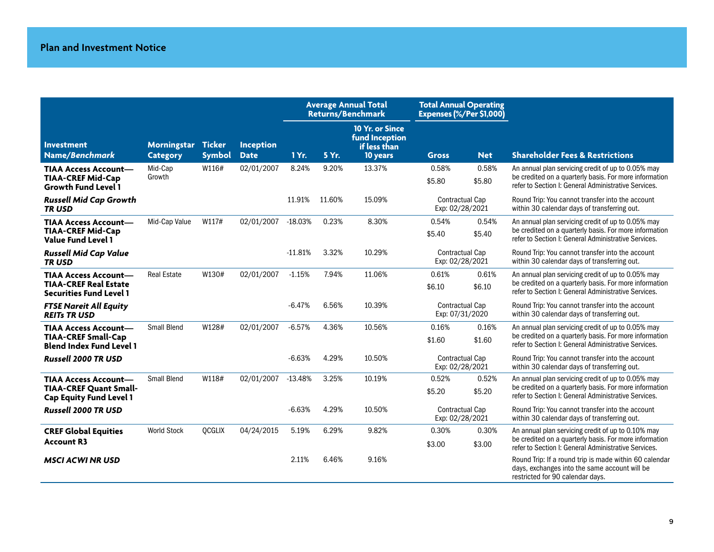|                                                                                                |                                |                                |                                 |           | <b>Average Annual Total</b><br><b>Returns/Benchmark</b> |                                                               | <b>Total Annual Operating</b><br>Expenses (%/Per \$1,000) |                 |                                                                                                                                                                      |
|------------------------------------------------------------------------------------------------|--------------------------------|--------------------------------|---------------------------------|-----------|---------------------------------------------------------|---------------------------------------------------------------|-----------------------------------------------------------|-----------------|----------------------------------------------------------------------------------------------------------------------------------------------------------------------|
| <b>Investment</b><br>Name/Benchmark                                                            | Morningstar<br><b>Category</b> | <b>Ticker</b><br><b>Symbol</b> | <b>Inception</b><br><b>Date</b> | 1 Yr.     | 5 Yr.                                                   | 10 Yr. or Since<br>fund Inception<br>if less than<br>10 years | <b>Gross</b>                                              | <b>Net</b>      | <b>Shareholder Fees &amp; Restrictions</b>                                                                                                                           |
| <b>TIAA Access Account-</b><br><b>TIAA-CREF Mid-Cap</b><br><b>Growth Fund Level 1</b>          | Mid-Cap<br>Growth              | W116#                          | 02/01/2007                      | 8.24%     | 9.20%                                                   | 13.37%                                                        | 0.58%<br>\$5.80                                           | 0.58%<br>\$5.80 | An annual plan servicing credit of up to 0.05% may<br>be credited on a quarterly basis. For more information<br>refer to Section I: General Administrative Services. |
| <b>Russell Mid Cap Growth</b><br><b>TRUSD</b>                                                  |                                |                                |                                 | 11.91%    | 11.60%                                                  | 15.09%                                                        | <b>Contractual Cap</b><br>Exp: 02/28/2021                 |                 | Round Trip: You cannot transfer into the account<br>within 30 calendar days of transferring out.                                                                     |
| <b>TIAA Access Account-</b><br><b>TIAA-CREF Mid-Cap</b><br><b>Value Fund Level 1</b>           | Mid-Cap Value                  | W117#                          | 02/01/2007                      | $-18.03%$ | 0.23%                                                   | 8.30%                                                         | 0.54%<br>\$5.40                                           | 0.54%<br>\$5.40 | An annual plan servicing credit of up to 0.05% may<br>be credited on a quarterly basis. For more information<br>refer to Section I: General Administrative Services. |
| <b>Russell Mid Cap Value</b><br><b>TRUSD</b>                                                   |                                |                                |                                 | $-11.81%$ | 3.32%                                                   | 10.29%                                                        | <b>Contractual Cap</b><br>Exp: 02/28/2021                 |                 | Round Trip: You cannot transfer into the account<br>within 30 calendar days of transferring out.                                                                     |
| <b>TIAA Access Account-</b><br><b>TIAA-CREF Real Estate</b><br><b>Securities Fund Level 1</b>  | <b>Real Estate</b>             | W130#                          | 02/01/2007                      | $-1.15%$  | 7.94%                                                   | 11.06%                                                        | 0.61%<br>\$6.10                                           | 0.61%<br>\$6.10 | An annual plan servicing credit of up to 0.05% may<br>be credited on a quarterly basis. For more information<br>refer to Section I: General Administrative Services. |
| <b>FTSE Nareit All Equity</b><br><b>REITs TR USD</b>                                           |                                |                                |                                 | $-6.47%$  | 6.56%                                                   | 10.39%                                                        | <b>Contractual Cap</b><br>Exp: 07/31/2020                 |                 | Round Trip: You cannot transfer into the account<br>within 30 calendar days of transferring out.                                                                     |
| <b>TIAA Access Account-</b><br><b>TIAA-CREF Small-Cap</b><br><b>Blend Index Fund Level 1</b>   | <b>Small Blend</b>             | W128#                          | 02/01/2007                      | $-6.57%$  | 4.36%                                                   | 10.56%                                                        | 0.16%<br>\$1.60                                           | 0.16%<br>\$1.60 | An annual plan servicing credit of up to 0.05% may<br>be credited on a quarterly basis. For more information<br>refer to Section I: General Administrative Services. |
| <b>Russell 2000 TR USD</b>                                                                     |                                |                                |                                 | $-6.63%$  | 4.29%                                                   | 10.50%                                                        | <b>Contractual Cap</b><br>Exp: 02/28/2021                 |                 | Round Trip: You cannot transfer into the account<br>within 30 calendar days of transferring out.                                                                     |
| <b>TIAA Access Account-</b><br><b>TIAA-CREF Quant Small-</b><br><b>Cap Equity Fund Level 1</b> | <b>Small Blend</b>             | W118#                          | 02/01/2007                      | $-13.48%$ | 3.25%                                                   | 10.19%                                                        | 0.52%<br>\$5.20                                           | 0.52%<br>\$5.20 | An annual plan servicing credit of up to 0.05% may<br>be credited on a quarterly basis. For more information<br>refer to Section I: General Administrative Services. |
| <b>Russell 2000 TR USD</b>                                                                     |                                |                                |                                 | $-6.63%$  | 4.29%                                                   | 10.50%                                                        | <b>Contractual Cap</b><br>Exp: 02/28/2021                 |                 | Round Trip: You cannot transfer into the account<br>within 30 calendar days of transferring out.                                                                     |
| <b>CREF Global Equities</b><br><b>Account R3</b>                                               | <b>World Stock</b>             | <b>QCGLIX</b>                  | 04/24/2015                      | 5.19%     | 6.29%                                                   | 9.82%                                                         | 0.30%<br>\$3.00                                           | 0.30%<br>\$3.00 | An annual plan servicing credit of up to 0.10% may<br>be credited on a quarterly basis. For more information<br>refer to Section I: General Administrative Services. |
| <b>MSCI ACWI NR USD</b>                                                                        |                                |                                |                                 | 2.11%     | 6.46%                                                   | 9.16%                                                         |                                                           |                 | Round Trip: If a round trip is made within 60 calendar<br>days, exchanges into the same account will be<br>restricted for 90 calendar days.                          |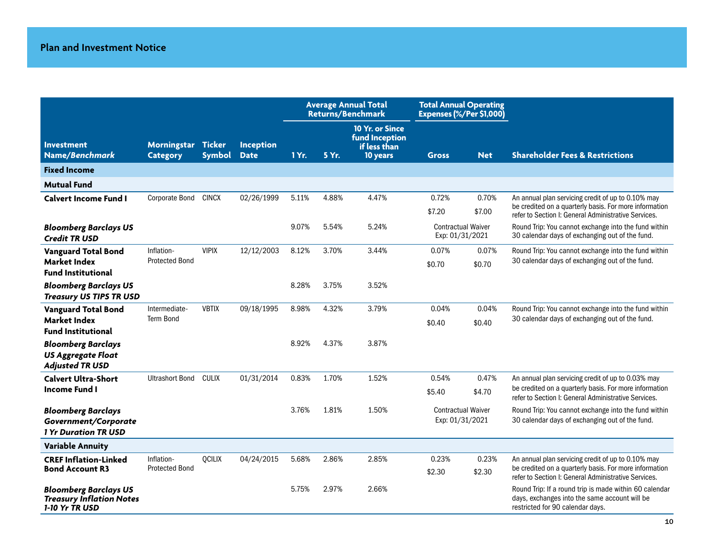|                                                                                   |                                     |                                |                                 | <b>Average Annual Total</b><br><b>Returns/Benchmark</b> |       | <b>Total Annual Operating</b><br>Expenses (%/Per \$1,000)     |                                              |                 |                                                                                                                                                                      |
|-----------------------------------------------------------------------------------|-------------------------------------|--------------------------------|---------------------------------|---------------------------------------------------------|-------|---------------------------------------------------------------|----------------------------------------------|-----------------|----------------------------------------------------------------------------------------------------------------------------------------------------------------------|
| <b>Investment</b><br>Name/Benchmark                                               | Morningstar<br><b>Category</b>      | <b>Ticker</b><br><b>Symbol</b> | <b>Inception</b><br><b>Date</b> | 1 Yr.                                                   | 5 Yr. | 10 Yr. or Since<br>fund Inception<br>if less than<br>10 years | <b>Gross</b>                                 | <b>Net</b>      | <b>Shareholder Fees &amp; Restrictions</b>                                                                                                                           |
| <b>Fixed Income</b>                                                               |                                     |                                |                                 |                                                         |       |                                                               |                                              |                 |                                                                                                                                                                      |
| <b>Mutual Fund</b>                                                                |                                     |                                |                                 |                                                         |       |                                                               |                                              |                 |                                                                                                                                                                      |
| <b>Calvert Income Fund I</b>                                                      | <b>Corporate Bond</b>               | <b>CINCX</b>                   | 02/26/1999                      | 5.11%                                                   | 4.88% | 4.47%                                                         | 0.72%                                        | 0.70%           | An annual plan servicing credit of up to 0.10% may                                                                                                                   |
|                                                                                   |                                     |                                |                                 |                                                         |       |                                                               | \$7.20                                       | \$7.00          | be credited on a quarterly basis. For more information<br>refer to Section I: General Administrative Services.                                                       |
| <b>Bloomberg Barclays US</b><br><b>Credit TR USD</b>                              |                                     |                                |                                 | 9.07%                                                   | 5.54% | 5.24%                                                         | <b>Contractual Waiver</b><br>Exp: 01/31/2021 |                 | Round Trip: You cannot exchange into the fund within<br>30 calendar days of exchanging out of the fund.                                                              |
| <b>Vanguard Total Bond</b>                                                        | Inflation-                          | <b>VIPIX</b>                   | 12/12/2003                      | 8.12%                                                   | 3.70% | 3.44%                                                         | 0.07%                                        | 0.07%           | Round Trip: You cannot exchange into the fund within                                                                                                                 |
| Market Index<br><b>Fund Institutional</b>                                         | <b>Protected Bond</b>               |                                |                                 |                                                         |       |                                                               | \$0.70                                       | \$0.70          | 30 calendar days of exchanging out of the fund.                                                                                                                      |
| <b>Bloomberg Barclays US</b><br><b>Treasury US TIPS TR USD</b>                    |                                     |                                |                                 | 8.28%                                                   | 3.75% | 3.52%                                                         |                                              |                 |                                                                                                                                                                      |
| <b>Vanguard Total Bond</b>                                                        | Intermediate-                       | <b>VBTIX</b>                   | 09/18/1995                      | 8.98%                                                   | 4.32% | 3.79%                                                         | 0.04%                                        | 0.04%           | Round Trip: You cannot exchange into the fund within                                                                                                                 |
| <b>Market Index</b><br><b>Fund Institutional</b>                                  | <b>Term Bond</b>                    |                                |                                 |                                                         |       |                                                               | \$0.40                                       | \$0.40          | 30 calendar days of exchanging out of the fund.                                                                                                                      |
| <b>Bloomberg Barclays</b><br><b>US Aggregate Float</b><br><b>Adjusted TR USD</b>  |                                     |                                |                                 | 8.92%                                                   | 4.37% | 3.87%                                                         |                                              |                 |                                                                                                                                                                      |
| <b>Calvert Ultra-Short</b>                                                        | <b>Ultrashort Bond</b>              | <b>CULIX</b>                   | 01/31/2014                      | 0.83%                                                   | 1.70% | 1.52%                                                         | 0.54%                                        | 0.47%           | An annual plan servicing credit of up to 0.03% may                                                                                                                   |
| Income Fund I                                                                     |                                     |                                |                                 |                                                         |       |                                                               | \$5.40                                       | \$4.70          | be credited on a quarterly basis. For more information<br>refer to Section I: General Administrative Services.                                                       |
| <b>Bloomberg Barclays</b><br>Government/Corporate<br><b>1 Yr Duration TR USD</b>  |                                     |                                |                                 | 3.76%                                                   | 1.81% | 1.50%                                                         | <b>Contractual Waiver</b><br>Exp: 01/31/2021 |                 | Round Trip: You cannot exchange into the fund within<br>30 calendar days of exchanging out of the fund.                                                              |
| <b>Variable Annuity</b>                                                           |                                     |                                |                                 |                                                         |       |                                                               |                                              |                 |                                                                                                                                                                      |
| <b>CREF Inflation-Linked</b><br><b>Bond Account R3</b>                            | Inflation-<br><b>Protected Bond</b> | <b>QCILIX</b>                  | 04/24/2015                      | 5.68%                                                   | 2.86% | 2.85%                                                         | 0.23%<br>\$2.30                              | 0.23%<br>\$2.30 | An annual plan servicing credit of up to 0.10% may<br>be credited on a quarterly basis. For more information<br>refer to Section I: General Administrative Services. |
| <b>Bloomberg Barclays US</b><br><b>Treasury Inflation Notes</b><br>1-10 Yr TR USD |                                     |                                |                                 | 5.75%                                                   | 2.97% | 2.66%                                                         |                                              |                 | Round Trip: If a round trip is made within 60 calendar<br>days, exchanges into the same account will be<br>restricted for 90 calendar days.                          |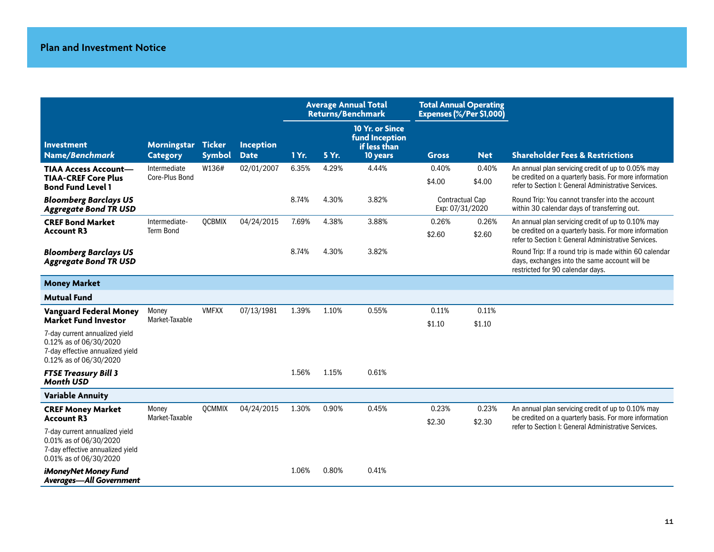|                                                                                                                                               |                                       |               |                                 | <b>Average Annual Total</b><br>Returns/Benchmark |       | <b>Total Annual Operating</b><br>Expenses (%/Per \$1,000)     |                                           |                 |                                                                                                                                                                      |
|-----------------------------------------------------------------------------------------------------------------------------------------------|---------------------------------------|---------------|---------------------------------|--------------------------------------------------|-------|---------------------------------------------------------------|-------------------------------------------|-----------------|----------------------------------------------------------------------------------------------------------------------------------------------------------------------|
| <b>Investment</b><br>Name/Benchmark                                                                                                           | Morningstar Ticker<br><b>Category</b> | <b>Symbol</b> | <b>Inception</b><br><b>Date</b> | 1 Yr.                                            | 5 Yr. | 10 Yr. or Since<br>fund Inception<br>if less than<br>10 years | <b>Gross</b>                              | <b>Net</b>      | <b>Shareholder Fees &amp; Restrictions</b>                                                                                                                           |
| <b>TIAA Access Account-</b><br><b>TIAA-CREF Core Plus</b><br><b>Bond Fund Level 1</b>                                                         | Intermediate<br>Core-Plus Bond        | W136#         | 02/01/2007                      | 6.35%                                            | 4.29% | 4.44%                                                         | 0.40%<br>\$4.00                           | 0.40%<br>\$4.00 | An annual plan servicing credit of up to 0.05% may<br>be credited on a quarterly basis. For more information<br>refer to Section I: General Administrative Services. |
| <b>Bloomberg Barclays US</b><br><b>Aggregate Bond TR USD</b>                                                                                  |                                       |               |                                 | 8.74%                                            | 4.30% | 3.82%                                                         | <b>Contractual Cap</b><br>Exp: 07/31/2020 |                 | Round Trip: You cannot transfer into the account<br>within 30 calendar days of transferring out.                                                                     |
| <b>CREF Bond Market</b><br><b>Account R3</b>                                                                                                  | Intermediate-<br><b>Term Bond</b>     | <b>QCBMIX</b> | 04/24/2015                      | 7.69%                                            | 4.38% | 3.88%                                                         | 0.26%<br>\$2.60                           | 0.26%<br>\$2.60 | An annual plan servicing credit of up to 0.10% may<br>be credited on a quarterly basis. For more information<br>refer to Section I: General Administrative Services. |
| <b>Bloomberg Barclays US</b><br><b>Aggregate Bond TR USD</b>                                                                                  |                                       |               |                                 | 8.74%                                            | 4.30% | 3.82%                                                         |                                           |                 | Round Trip: If a round trip is made within 60 calendar<br>days, exchanges into the same account will be<br>restricted for 90 calendar days.                          |
| <b>Money Market</b>                                                                                                                           |                                       |               |                                 |                                                  |       |                                                               |                                           |                 |                                                                                                                                                                      |
| <b>Mutual Fund</b>                                                                                                                            |                                       |               |                                 |                                                  |       |                                                               |                                           |                 |                                                                                                                                                                      |
| Vanguard Federal Money<br><b>Market Fund Investor</b>                                                                                         | Money<br>Market-Taxable               | <b>VMFXX</b>  | 07/13/1981                      | 1.39%                                            | 1.10% | 0.55%                                                         | 0.11%<br>\$1.10                           | 0.11%<br>\$1.10 |                                                                                                                                                                      |
| 7-day current annualized yield<br>0.12% as of 06/30/2020<br>7-day effective annualized yield<br>0.12% as of 06/30/2020                        |                                       |               |                                 |                                                  |       |                                                               |                                           |                 |                                                                                                                                                                      |
| <b>FTSE Treasury Bill 3</b><br><b>Month USD</b>                                                                                               |                                       |               |                                 | 1.56%                                            | 1.15% | 0.61%                                                         |                                           |                 |                                                                                                                                                                      |
| <b>Variable Annuity</b>                                                                                                                       |                                       |               |                                 |                                                  |       |                                                               |                                           |                 |                                                                                                                                                                      |
| <b>CREF Money Market</b><br><b>Account R3</b><br>7-day current annualized yield<br>0.01% as of 06/30/2020<br>7-day effective annualized yield | Money<br>Market-Taxable               | <b>OCMMIX</b> | 04/24/2015                      | 1.30%                                            | 0.90% | 0.45%                                                         | 0.23%<br>\$2.30                           | 0.23%<br>\$2.30 | An annual plan servicing credit of up to 0.10% may<br>be credited on a quarterly basis. For more information<br>refer to Section I: General Administrative Services. |
| 0.01% as of 06/30/2020<br>iMoneyNet Money Fund<br><b>Averages—All Government</b>                                                              |                                       |               |                                 | 1.06%                                            | 0.80% | 0.41%                                                         |                                           |                 |                                                                                                                                                                      |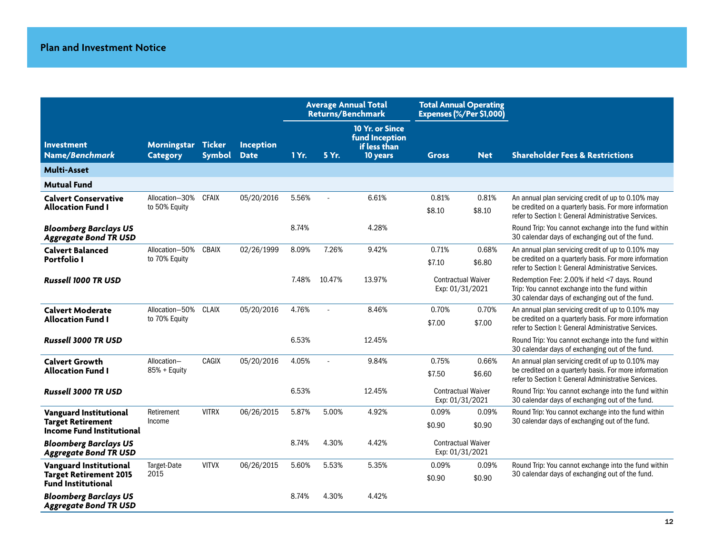|                                                              |                                 |                                |                          |       |        | <b>Average Annual Total</b><br><b>Returns/Benchmark</b>       | <b>Total Annual Operating</b><br>Expenses (%/Per \$1,000) |                           |                                                                                                                                                                      |
|--------------------------------------------------------------|---------------------------------|--------------------------------|--------------------------|-------|--------|---------------------------------------------------------------|-----------------------------------------------------------|---------------------------|----------------------------------------------------------------------------------------------------------------------------------------------------------------------|
| <b>Investment</b><br>Name/Benchmark                          | Morningstar<br><b>Category</b>  | <b>Ticker</b><br><b>Symbol</b> | Inception<br><b>Date</b> | 1 Yr. | 5 Yr.  | 10 Yr. or Since<br>fund Inception<br>if less than<br>10 years | <b>Gross</b>                                              | <b>Net</b>                | <b>Shareholder Fees &amp; Restrictions</b>                                                                                                                           |
| <b>Multi-Asset</b>                                           |                                 |                                |                          |       |        |                                                               |                                                           |                           |                                                                                                                                                                      |
| <b>Mutual Fund</b>                                           |                                 |                                |                          |       |        |                                                               |                                                           |                           |                                                                                                                                                                      |
| <b>Calvert Conservative</b><br><b>Allocation Fund I</b>      | Allocation-30%<br>to 50% Equity | <b>CFAIX</b>                   | 05/20/2016               | 5.56% |        | 6.61%                                                         | 0.81%<br>\$8.10                                           | 0.81%<br>\$8.10           | An annual plan servicing credit of up to 0.10% may<br>be credited on a quarterly basis. For more information<br>refer to Section I: General Administrative Services. |
| <b>Bloomberg Barclays US</b><br><b>Aggregate Bond TR USD</b> |                                 |                                |                          | 8.74% |        | 4.28%                                                         |                                                           |                           | Round Trip: You cannot exchange into the fund within<br>30 calendar days of exchanging out of the fund.                                                              |
| <b>Calvert Balanced</b>                                      | Allocation-50%                  | <b>CBAIX</b>                   | 02/26/1999               | 8.09% | 7.26%  | 9.42%                                                         | 0.71%                                                     | 0.68%                     | An annual plan servicing credit of up to 0.10% may                                                                                                                   |
| Portfolio I                                                  | to 70% Equity                   |                                |                          |       |        |                                                               | \$7.10                                                    | \$6.80                    | be credited on a quarterly basis. For more information<br>refer to Section I: General Administrative Services.                                                       |
| <b>Russell 1000 TR USD</b>                                   |                                 |                                |                          | 7.48% | 10.47% | 13.97%                                                        | <b>Contractual Waiver</b><br>Exp: 01/31/2021              |                           | Redemption Fee: 2.00% if held <7 days. Round<br>Trip: You cannot exchange into the fund within<br>30 calendar days of exchanging out of the fund.                    |
| <b>Calvert Moderate</b>                                      | Allocation-50% CLAIX            |                                | 05/20/2016               | 4.76% | $\sim$ | 8.46%                                                         | 0.70%                                                     | 0.70%                     | An annual plan servicing credit of up to 0.10% may                                                                                                                   |
| <b>Allocation Fund I</b>                                     | to 70% Equity                   |                                |                          |       |        |                                                               | \$7.00                                                    | \$7.00                    | be credited on a quarterly basis. For more information<br>refer to Section I: General Administrative Services.                                                       |
| <b>Russell 3000 TR USD</b>                                   |                                 |                                |                          | 6.53% |        | 12.45%                                                        |                                                           |                           | Round Trip: You cannot exchange into the fund within<br>30 calendar days of exchanging out of the fund.                                                              |
| <b>Calvert Growth</b>                                        | Allocation-                     | CAGIX                          | 05/20/2016               | 4.05% | $\sim$ | 9.84%                                                         | 0.75%                                                     | 0.66%                     | An annual plan servicing credit of up to 0.10% may                                                                                                                   |
| <b>Allocation Fund I</b>                                     | 85% + Equity                    |                                |                          |       |        |                                                               | \$7.50                                                    | \$6.60                    | be credited on a quarterly basis. For more information<br>refer to Section I: General Administrative Services.                                                       |
| <b>Russell 3000 TR USD</b>                                   |                                 |                                |                          | 6.53% |        | 12.45%                                                        | Exp: 01/31/2021                                           | <b>Contractual Waiver</b> | Round Trip: You cannot exchange into the fund within<br>30 calendar days of exchanging out of the fund.                                                              |
| <b>Vanguard Institutional</b>                                | Retirement                      | <b>VITRX</b>                   | 06/26/2015               | 5.87% | 5.00%  | 4.92%                                                         | 0.09%                                                     | 0.09%                     | Round Trip: You cannot exchange into the fund within                                                                                                                 |
| <b>Target Retirement</b><br><b>Income Fund Institutional</b> | Income                          |                                |                          |       |        |                                                               | \$0.90                                                    | \$0.90                    | 30 calendar days of exchanging out of the fund.                                                                                                                      |
| <b>Bloomberg Barclays US</b><br><b>Aggregate Bond TR USD</b> |                                 |                                |                          | 8.74% | 4.30%  | 4.42%                                                         | <b>Contractual Waiver</b><br>Exp: 01/31/2021              |                           |                                                                                                                                                                      |
| <b>Vanguard Institutional</b>                                | Target-Date                     | <b>VITVX</b>                   | 06/26/2015               | 5.60% | 5.53%  | 5.35%                                                         | 0.09%                                                     | 0.09%                     | Round Trip: You cannot exchange into the fund within                                                                                                                 |
| <b>Target Retirement 2015</b><br><b>Fund Institutional</b>   | 2015                            |                                |                          |       |        |                                                               | \$0.90                                                    | \$0.90                    | 30 calendar days of exchanging out of the fund.                                                                                                                      |
| <b>Bloomberg Barclays US</b><br><b>Aggregate Bond TR USD</b> |                                 |                                |                          | 8.74% | 4.30%  | 4.42%                                                         |                                                           |                           |                                                                                                                                                                      |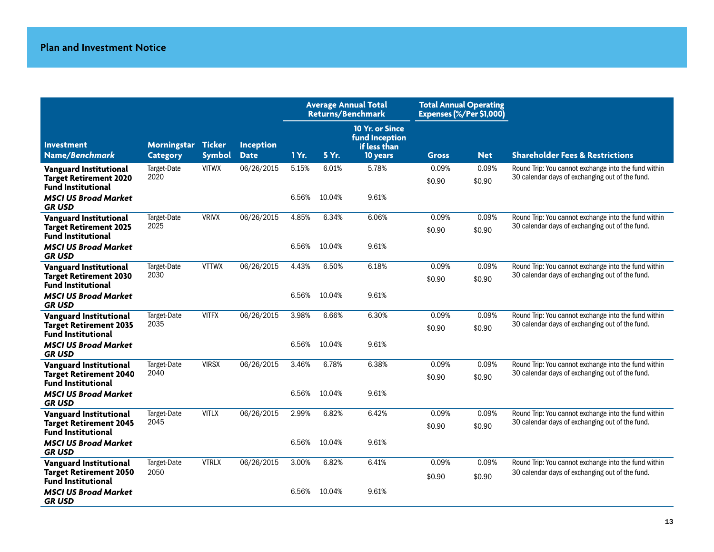|                                                                                             |                                |                                |                                 | <b>Average Annual Total</b><br>Returns/Benchmark |        | <b>Total Annual Operating</b><br>Expenses (%/Per \$1,000)            |                 |                 |                                                                                                         |
|---------------------------------------------------------------------------------------------|--------------------------------|--------------------------------|---------------------------------|--------------------------------------------------|--------|----------------------------------------------------------------------|-----------------|-----------------|---------------------------------------------------------------------------------------------------------|
| <b>Investment</b><br>Name/Benchmark                                                         | Morningstar<br><b>Category</b> | <b>Ticker</b><br><b>Symbol</b> | <b>Inception</b><br><b>Date</b> | 1 Yr.                                            | 5 Yr.  | 10 Yr. or Since<br><b>fund Inception</b><br>if less than<br>10 years | <b>Gross</b>    | <b>Net</b>      | <b>Shareholder Fees &amp; Restrictions</b>                                                              |
| <b>Vanguard Institutional</b><br><b>Target Retirement 2020</b><br>Fund Institutional        | Target-Date<br>2020            | <b>VITWX</b>                   | 06/26/2015                      | 5.15%                                            | 6.01%  | 5.78%                                                                | 0.09%<br>\$0.90 | 0.09%<br>\$0.90 | Round Trip: You cannot exchange into the fund within<br>30 calendar days of exchanging out of the fund. |
| <b>MSCI US Broad Market</b><br><b>GRUSD</b>                                                 |                                |                                |                                 | 6.56%                                            | 10.04% | 9.61%                                                                |                 |                 |                                                                                                         |
| <b>Vanguard Institutional</b><br><b>Target Retirement 2025</b><br>Fund Institutional        | Target-Date<br>2025            | <b>VRIVX</b>                   | 06/26/2015                      | 4.85%                                            | 6.34%  | 6.06%                                                                | 0.09%<br>\$0.90 | 0.09%<br>\$0.90 | Round Trip: You cannot exchange into the fund within<br>30 calendar days of exchanging out of the fund. |
| <b>MSCI US Broad Market</b><br><b>GRUSD</b>                                                 |                                |                                |                                 | 6.56%                                            | 10.04% | 9.61%                                                                |                 |                 |                                                                                                         |
| <b>Vanguard Institutional</b><br><b>Target Retirement 2030</b><br><b>Fund Institutional</b> | Target-Date<br>2030            | <b>VTTWX</b>                   | 06/26/2015                      | 4.43%                                            | 6.50%  | 6.18%                                                                | 0.09%<br>\$0.90 | 0.09%<br>\$0.90 | Round Trip: You cannot exchange into the fund within<br>30 calendar days of exchanging out of the fund. |
| <b>MSCI US Broad Market</b><br><b>GRUSD</b>                                                 |                                |                                |                                 | 6.56%                                            | 10.04% | 9.61%                                                                |                 |                 |                                                                                                         |
| <b>Vanguard Institutional</b><br><b>Target Retirement 2035</b><br><b>Fund Institutional</b> | Target-Date<br>2035            | <b>VITFX</b>                   | 06/26/2015                      | 3.98%                                            | 6.66%  | 6.30%                                                                | 0.09%<br>\$0.90 | 0.09%<br>\$0.90 | Round Trip: You cannot exchange into the fund within<br>30 calendar days of exchanging out of the fund. |
| <b>MSCI US Broad Market</b><br><b>GRUSD</b>                                                 |                                |                                |                                 | 6.56%                                            | 10.04% | 9.61%                                                                |                 |                 |                                                                                                         |
| <b>Vanguard Institutional</b><br><b>Target Retirement 2040</b><br><b>Fund Institutional</b> | Target-Date<br>2040            | <b>VIRSX</b>                   | 06/26/2015                      | 3.46%                                            | 6.78%  | 6.38%                                                                | 0.09%<br>\$0.90 | 0.09%<br>\$0.90 | Round Trip: You cannot exchange into the fund within<br>30 calendar days of exchanging out of the fund. |
| <b>MSCI US Broad Market</b><br><b>GRUSD</b>                                                 |                                |                                |                                 | 6.56%                                            | 10.04% | 9.61%                                                                |                 |                 |                                                                                                         |
| <b>Vanguard Institutional</b><br><b>Target Retirement 2045</b><br><b>Fund Institutional</b> | Target-Date<br>2045            | <b>VITLX</b>                   | 06/26/2015                      | 2.99%                                            | 6.82%  | 6.42%                                                                | 0.09%<br>\$0.90 | 0.09%<br>\$0.90 | Round Trip: You cannot exchange into the fund within<br>30 calendar days of exchanging out of the fund. |
| <b>MSCI US Broad Market</b><br><b>GRUSD</b>                                                 |                                |                                |                                 | 6.56%                                            | 10.04% | 9.61%                                                                |                 |                 |                                                                                                         |
| <b>Vanguard Institutional</b><br><b>Target Retirement 2050</b><br><b>Fund Institutional</b> | Target-Date<br>2050            | <b>VTRLX</b>                   | 06/26/2015                      | 3.00%                                            | 6.82%  | 6.41%                                                                | 0.09%<br>\$0.90 | 0.09%<br>\$0.90 | Round Trip: You cannot exchange into the fund within<br>30 calendar days of exchanging out of the fund. |
| <b>MSCI US Broad Market</b><br><b>GRUSD</b>                                                 |                                |                                |                                 | 6.56%                                            | 10.04% | 9.61%                                                                |                 |                 |                                                                                                         |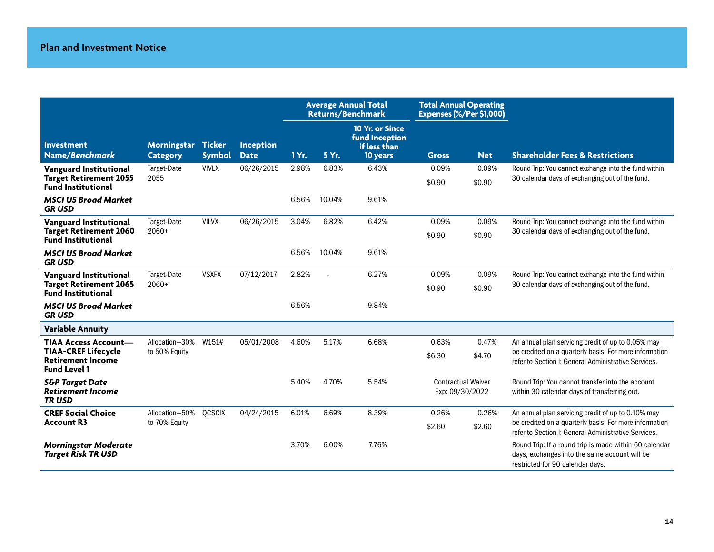|                                                                                      |                                |                                |                          |       |        | <b>Average Annual Total</b><br><b>Returns/Benchmark</b>       | <b>Total Annual Operating</b><br>Expenses (%/Per \$1,000) |                 |                                                                                                                                             |  |
|--------------------------------------------------------------------------------------|--------------------------------|--------------------------------|--------------------------|-------|--------|---------------------------------------------------------------|-----------------------------------------------------------|-----------------|---------------------------------------------------------------------------------------------------------------------------------------------|--|
| <b>Investment</b><br>Name/Benchmark                                                  | Morningstar<br><b>Category</b> | <b>Ticker</b><br><b>Symbol</b> | Inception<br><b>Date</b> | 1 Yr. | 5 Yr.  | 10 Yr. or Since<br>fund Inception<br>if less than<br>10 years | <b>Gross</b>                                              | <b>Net</b>      | <b>Shareholder Fees &amp; Restrictions</b>                                                                                                  |  |
| Vanguard Institutional<br><b>Target Retirement 2055</b><br><b>Fund Institutional</b> | Target-Date<br>2055            | <b>VIVLX</b>                   | 06/26/2015               | 2.98% | 6.83%  | 6.43%                                                         | 0.09%<br>\$0.90                                           | 0.09%<br>\$0.90 | Round Trip: You cannot exchange into the fund within<br>30 calendar days of exchanging out of the fund.                                     |  |
| <b>MSCI US Broad Market</b><br><b>GRUSD</b>                                          |                                |                                |                          | 6.56% | 10.04% | 9.61%                                                         |                                                           |                 |                                                                                                                                             |  |
| <b>Vanguard Institutional</b>                                                        | Target-Date                    | <b>VILVX</b>                   | 06/26/2015               | 3.04% | 6.82%  | 6.42%                                                         | 0.09%                                                     | 0.09%           | Round Trip: You cannot exchange into the fund within<br>30 calendar days of exchanging out of the fund.                                     |  |
| <b>Target Retirement 2060</b><br><b>Fund Institutional</b>                           | $2060+$                        |                                |                          |       |        |                                                               | \$0.90                                                    | \$0.90          |                                                                                                                                             |  |
| <b>MSCI US Broad Market</b><br><b>GRUSD</b>                                          |                                |                                |                          | 6.56% | 10.04% | 9.61%                                                         |                                                           |                 |                                                                                                                                             |  |
| <b>Vanguard Institutional</b>                                                        | Target-Date                    | <b>VSXFX</b>                   | 07/12/2017               | 2.82% |        | 6.27%                                                         | 0.09%                                                     | 0.09%           | Round Trip: You cannot exchange into the fund within                                                                                        |  |
| <b>Target Retirement 2065</b><br><b>Fund Institutional</b>                           | $2060+$                        |                                |                          |       |        |                                                               | \$0.90                                                    | \$0.90          | 30 calendar days of exchanging out of the fund.                                                                                             |  |
| <b>MSCI US Broad Market</b><br><b>GRUSD</b>                                          |                                |                                |                          | 6.56% |        | 9.84%                                                         |                                                           |                 |                                                                                                                                             |  |
| <b>Variable Annuity</b>                                                              |                                |                                |                          |       |        |                                                               |                                                           |                 |                                                                                                                                             |  |
| <b>TIAA Access Account-</b>                                                          | Allocation-30%                 | W151#                          | 05/01/2008               | 4.60% | 5.17%  | 6.68%                                                         | 0.63%                                                     | 0.47%           | An annual plan servicing credit of up to 0.05% may                                                                                          |  |
| <b>TIAA-CREF Lifecycle</b><br><b>Retirement Income</b><br><b>Fund Level 1</b>        | to 50% Equity                  |                                |                          |       |        |                                                               | \$6.30                                                    | \$4.70          | be credited on a quarterly basis. For more information<br>refer to Section I: General Administrative Services.                              |  |
| <b>S&amp;P Target Date</b><br><b>Retirement Income</b><br><b>TRUSD</b>               |                                |                                |                          | 5.40% | 4.70%  | 5.54%                                                         | <b>Contractual Waiver</b><br>Exp: 09/30/2022              |                 | Round Trip: You cannot transfer into the account<br>within 30 calendar days of transferring out.                                            |  |
| <b>CREF Social Choice</b>                                                            | Allocation-50%                 | <b>QCSCIX</b>                  | 04/24/2015               | 6.01% | 6.69%  | 8.39%                                                         | 0.26%                                                     | 0.26%           | An annual plan servicing credit of up to 0.10% may                                                                                          |  |
| <b>Account R3</b>                                                                    | to 70% Equity                  |                                |                          |       |        |                                                               | \$2.60                                                    | \$2.60          | be credited on a quarterly basis. For more information<br>refer to Section I: General Administrative Services.                              |  |
| <b>Morningstar Moderate</b><br><b>Target Risk TR USD</b>                             |                                |                                |                          | 3.70% | 6.00%  | 7.76%                                                         |                                                           |                 | Round Trip: If a round trip is made within 60 calendar<br>days, exchanges into the same account will be<br>restricted for 90 calendar days. |  |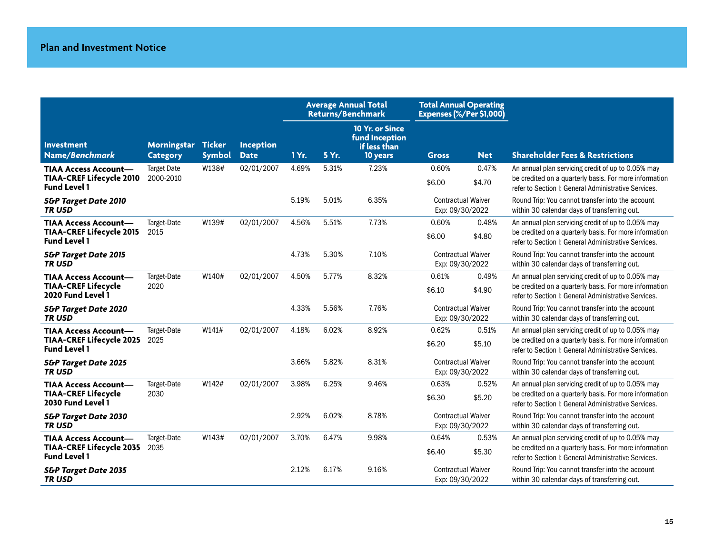|                                                                                       |                                 |                                |                                 | <b>Average Annual Total</b><br><b>Returns/Benchmark</b> |       | <b>Total Annual Operating</b><br>Expenses (%/Per \$1,000)     |                                              |                 |                                                                                                                                                                      |
|---------------------------------------------------------------------------------------|---------------------------------|--------------------------------|---------------------------------|---------------------------------------------------------|-------|---------------------------------------------------------------|----------------------------------------------|-----------------|----------------------------------------------------------------------------------------------------------------------------------------------------------------------|
| <b>Investment</b><br>Name/Benchmark                                                   | Morningstar<br><b>Category</b>  | <b>Ticker</b><br><b>Symbol</b> | <b>Inception</b><br><b>Date</b> | 1 Yr.                                                   | 5 Yr. | 10 Yr. or Since<br>fund Inception<br>if less than<br>10 years | <b>Gross</b>                                 | <b>Net</b>      | <b>Shareholder Fees &amp; Restrictions</b>                                                                                                                           |
| <b>TIAA Access Account-</b><br><b>TIAA-CREF Lifecycle 2010</b><br><b>Fund Level 1</b> | <b>Target Date</b><br>2000-2010 | W138#                          | 02/01/2007                      | 4.69%                                                   | 5.31% | 7.23%                                                         | 0.60%<br>\$6.00                              | 0.47%<br>\$4.70 | An annual plan servicing credit of up to 0.05% may<br>be credited on a quarterly basis. For more information<br>refer to Section I: General Administrative Services. |
| <b>S&amp;P Target Date 2010</b><br><b>TRUSD</b>                                       |                                 |                                |                                 | 5.19%                                                   | 5.01% | 6.35%                                                         | <b>Contractual Waiver</b><br>Exp: 09/30/2022 |                 | Round Trip: You cannot transfer into the account<br>within 30 calendar days of transferring out.                                                                     |
| <b>TIAA Access Account-</b><br><b>TIAA-CREF Lifecycle 2015</b><br><b>Fund Level 1</b> | Target-Date<br>2015             | W139#                          | 02/01/2007                      | 4.56%                                                   | 5.51% | 7.73%                                                         | 0.60%<br>\$6.00                              | 0.48%<br>\$4.80 | An annual plan servicing credit of up to 0.05% may<br>be credited on a quarterly basis. For more information<br>refer to Section I: General Administrative Services. |
| <b>S&amp;P Target Date 2015</b><br><b>TRUSD</b>                                       |                                 |                                |                                 | 4.73%                                                   | 5.30% | 7.10%                                                         | <b>Contractual Waiver</b><br>Exp: 09/30/2022 |                 | Round Trip: You cannot transfer into the account<br>within 30 calendar days of transferring out.                                                                     |
| <b>TIAA Access Account-</b><br><b>TIAA-CREF Lifecycle</b><br>2020 Fund Level 1        | Target-Date<br>2020             | W140#                          | 02/01/2007                      | 4.50%                                                   | 5.77% | 8.32%                                                         | 0.61%<br>\$6.10                              | 0.49%<br>\$4.90 | An annual plan servicing credit of up to 0.05% may<br>be credited on a quarterly basis. For more information<br>refer to Section I: General Administrative Services. |
| <b>S&amp;P Target Date 2020</b><br><b>TRUSD</b>                                       |                                 |                                |                                 | 4.33%                                                   | 5.56% | 7.76%                                                         | <b>Contractual Waiver</b><br>Exp: 09/30/2022 |                 | Round Trip: You cannot transfer into the account<br>within 30 calendar days of transferring out.                                                                     |
| <b>TIAA Access Account-</b><br><b>TIAA-CREF Lifecycle 2025</b><br><b>Fund Level 1</b> | Target-Date<br>2025             | W141#                          | 02/01/2007                      | 4.18%                                                   | 6.02% | 8.92%                                                         | 0.62%<br>\$6.20                              | 0.51%<br>\$5.10 | An annual plan servicing credit of up to 0.05% may<br>be credited on a quarterly basis. For more information<br>refer to Section I: General Administrative Services. |
| <b>S&amp;P Target Date 2025</b><br><b>TRUSD</b>                                       |                                 |                                |                                 | 3.66%                                                   | 5.82% | 8.31%                                                         | <b>Contractual Waiver</b><br>Exp: 09/30/2022 |                 | Round Trip: You cannot transfer into the account<br>within 30 calendar days of transferring out.                                                                     |
| <b>TIAA Access Account-</b><br><b>TIAA-CREF Lifecycle</b><br>2030 Fund Level 1        | Target-Date<br>2030             | W142#                          | 02/01/2007                      | 3.98%                                                   | 6.25% | 9.46%                                                         | 0.63%<br>\$6.30                              | 0.52%<br>\$5.20 | An annual plan servicing credit of up to 0.05% may<br>be credited on a quarterly basis. For more information<br>refer to Section I: General Administrative Services. |
| <b>S&amp;P Target Date 2030</b><br><b>TRUSD</b>                                       |                                 |                                |                                 | 2.92%                                                   | 6.02% | 8.78%                                                         | <b>Contractual Waiver</b><br>Exp: 09/30/2022 |                 | Round Trip: You cannot transfer into the account<br>within 30 calendar days of transferring out.                                                                     |
| <b>TIAA Access Account-</b><br><b>TIAA-CREF Lifecycle 2035</b><br><b>Fund Level 1</b> | Target-Date<br>2035             | W143#                          | 02/01/2007                      | 3.70%                                                   | 6.47% | 9.98%                                                         | 0.64%<br>\$6.40                              | 0.53%<br>\$5.30 | An annual plan servicing credit of up to 0.05% may<br>be credited on a quarterly basis. For more information<br>refer to Section I: General Administrative Services. |
| <b>S&amp;P Target Date 2035</b><br><b>TRUSD</b>                                       |                                 |                                |                                 | 2.12%                                                   | 6.17% | 9.16%                                                         | <b>Contractual Waiver</b><br>Exp: 09/30/2022 |                 | Round Trip: You cannot transfer into the account<br>within 30 calendar days of transferring out.                                                                     |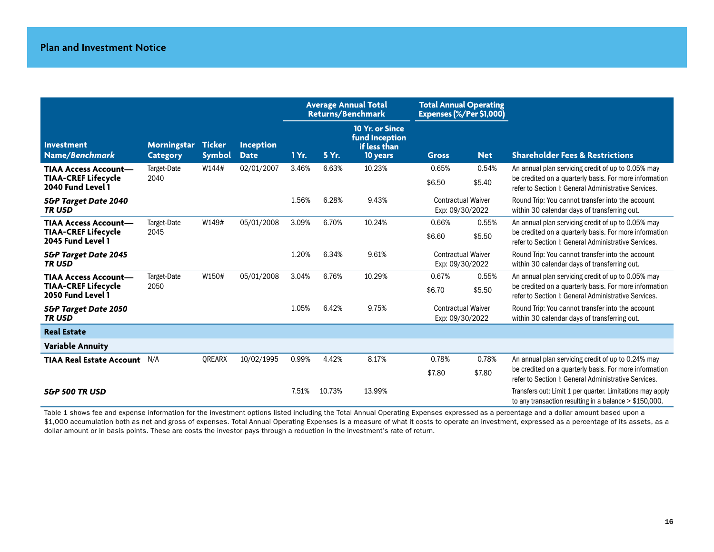|                                                                                |                                |                                |                                 |       |        | <b>Average Annual Total</b><br><b>Returns/Benchmark</b>              | <b>Total Annual Operating</b><br>Expenses (%/Per \$1,000) |                 |                                                                                                                                                                      |
|--------------------------------------------------------------------------------|--------------------------------|--------------------------------|---------------------------------|-------|--------|----------------------------------------------------------------------|-----------------------------------------------------------|-----------------|----------------------------------------------------------------------------------------------------------------------------------------------------------------------|
| <b>Investment</b><br>Name/Benchmark                                            | Morningstar<br><b>Category</b> | <b>Ticker</b><br><b>Symbol</b> | <b>Inception</b><br><b>Date</b> | 1 Yr. | 5 Yr.  | 10 Yr. or Since<br><b>fund Inception</b><br>if less than<br>10 years | <b>Gross</b>                                              | <b>Net</b>      | <b>Shareholder Fees &amp; Restrictions</b>                                                                                                                           |
| <b>TIAA Access Account-</b><br><b>TIAA-CREF Lifecycle</b><br>2040 Fund Level 1 | Target-Date<br>2040            | W144#                          | 02/01/2007                      | 3.46% | 6.63%  | 10.23%                                                               | 0.65%<br>\$6.50                                           | 0.54%<br>\$5.40 | An annual plan servicing credit of up to 0.05% may<br>be credited on a quarterly basis. For more information<br>refer to Section I: General Administrative Services. |
| <b>S&amp;P Target Date 2040</b><br><b>TRUSD</b>                                |                                |                                |                                 | 1.56% | 6.28%  | 9.43%                                                                | <b>Contractual Waiver</b><br>Exp: 09/30/2022              |                 | Round Trip: You cannot transfer into the account<br>within 30 calendar days of transferring out.                                                                     |
| <b>TIAA Access Account-</b><br><b>TIAA-CREF Lifecycle</b><br>2045 Fund Level 1 | Target-Date<br>2045            | W149#                          | 05/01/2008                      | 3.09% | 6.70%  | 10.24%                                                               | 0.66%<br>\$6.60                                           | 0.55%<br>\$5.50 | An annual plan servicing credit of up to 0.05% may<br>be credited on a quarterly basis. For more information<br>refer to Section I: General Administrative Services. |
| <b>S&amp;P Target Date 2045</b><br><b>TRUSD</b>                                |                                |                                |                                 | 1.20% | 6.34%  | 9.61%                                                                | <b>Contractual Waiver</b><br>Exp: 09/30/2022              |                 | Round Trip: You cannot transfer into the account<br>within 30 calendar days of transferring out.                                                                     |
| <b>TIAA Access Account-</b><br><b>TIAA-CREF Lifecycle</b><br>2050 Fund Level 1 | Target-Date<br>2050            | W150#                          | 05/01/2008                      | 3.04% | 6.76%  | 10.29%                                                               | 0.67%<br>\$6.70                                           | 0.55%<br>\$5.50 | An annual plan servicing credit of up to 0.05% may<br>be credited on a quarterly basis. For more information<br>refer to Section I: General Administrative Services. |
| <b>S&amp;P Target Date 2050</b><br><b>TRUSD</b>                                |                                |                                |                                 | 1.05% | 6.42%  | 9.75%                                                                | <b>Contractual Waiver</b><br>Exp: 09/30/2022              |                 | Round Trip: You cannot transfer into the account<br>within 30 calendar days of transferring out.                                                                     |
| <b>Real Estate</b>                                                             |                                |                                |                                 |       |        |                                                                      |                                                           |                 |                                                                                                                                                                      |
| <b>Variable Annuity</b>                                                        |                                |                                |                                 |       |        |                                                                      |                                                           |                 |                                                                                                                                                                      |
| <b>TIAA Real Estate Account</b>                                                | N/A                            | <b>OREARX</b>                  | 10/02/1995                      | 0.99% | 4.42%  | 8.17%                                                                | 0.78%<br>\$7.80                                           | 0.78%<br>\$7.80 | An annual plan servicing credit of up to 0.24% may<br>be credited on a quarterly basis. For more information<br>refer to Section I: General Administrative Services. |
| <b>S&amp;P 500 TR USD</b>                                                      |                                |                                |                                 | 7.51% | 10.73% | 13.99%                                                               |                                                           |                 | Transfers out: Limit 1 per quarter. Limitations may apply<br>to any transaction resulting in a balance $>$ \$150,000.                                                |

Table 1 shows fee and expense information for the investment options listed including the Total Annual Operating Expenses expressed as a percentage and a dollar amount based upon a \$1,000 accumulation both as net and gross of expenses. Total Annual Operating Expenses is a measure of what it costs to operate an investment, expressed as a percentage of its assets, as a dollar amount or in basis points. These are costs the investor pays through a reduction in the investment's rate of return.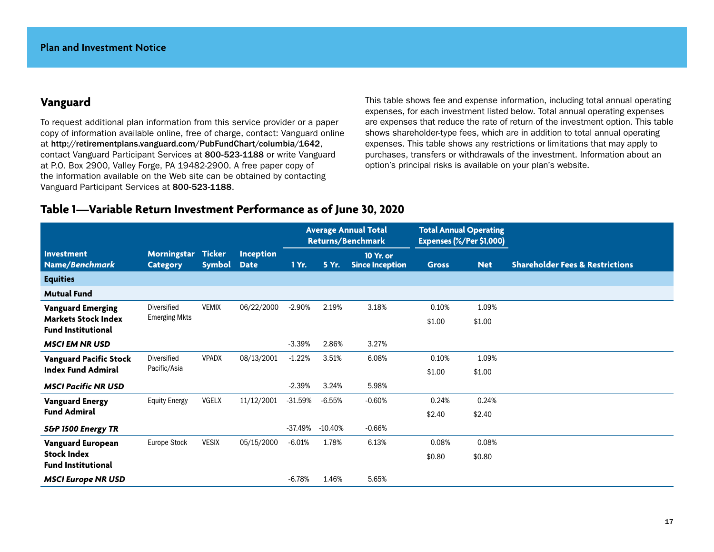## **Vanguard**

To request additional plan information from this service provider or a paper copy of information available online, free of charge, contact: Vanguard online at http://retirementplans.vanguard.com/PubFundChart/columbia/1642, contact Vanguard Participant Services at 800-523-1188 or write Vanguard at P.O. Box 2900, Valley Forge, PA 19482-2900. A free paper copy of the information available on the Web site can be obtained by contacting Vanguard Participant Services at 800-523-1188.

This table shows fee and expense information, including total annual operating expenses, for each investment listed below. Total annual operating expenses are expenses that reduce the rate of return of the investment option. This table shows shareholder-type fees, which are in addition to total annual operating expenses. This table shows any restrictions or limitations that may apply to purchases, transfers or withdrawals of the investment. Information about an option's principal risks is available on your plan's website.

## **Table 1—Variable Return Investment Performance as of June 30, 2020**

|                                                         |                                |                                |                                 | <b>Average Annual Total</b><br><b>Returns/Benchmark</b> |           | <b>Total Annual Operating</b><br>Expenses (%/Per \$1,000) |              |            |                                            |
|---------------------------------------------------------|--------------------------------|--------------------------------|---------------------------------|---------------------------------------------------------|-----------|-----------------------------------------------------------|--------------|------------|--------------------------------------------|
| Investment<br>Name/Benchmark                            | Morningstar<br><b>Category</b> | <b>Ticker</b><br><b>Symbol</b> | <b>Inception</b><br><b>Date</b> | 1 Yr.                                                   | 5 Yr.     | 10 Yr. or<br><b>Since Inception</b>                       | <b>Gross</b> | <b>Net</b> | <b>Shareholder Fees &amp; Restrictions</b> |
| <b>Equities</b>                                         |                                |                                |                                 |                                                         |           |                                                           |              |            |                                            |
| <b>Mutual Fund</b>                                      |                                |                                |                                 |                                                         |           |                                                           |              |            |                                            |
| <b>Vanguard Emerging</b>                                | Diversified                    | <b>VEMIX</b>                   | 06/22/2000                      | $-2.90%$                                                | 2.19%     | 3.18%                                                     | 0.10%        | 1.09%      |                                            |
| <b>Markets Stock Index</b><br><b>Fund Institutional</b> | <b>Emerging Mkts</b>           |                                |                                 |                                                         |           |                                                           | \$1.00       | \$1.00     |                                            |
| <b>MSCI EM NR USD</b>                                   |                                |                                |                                 | $-3.39%$                                                | 2.86%     | 3.27%                                                     |              |            |                                            |
| <b>Vanguard Pacific Stock</b>                           | Diversified                    | <b>VPADX</b>                   | 08/13/2001                      | $-1.22%$                                                | 3.51%     | 6.08%                                                     | 0.10%        | 1.09%      |                                            |
| <b>Index Fund Admiral</b>                               | Pacific/Asia                   |                                |                                 |                                                         |           |                                                           | \$1.00       | \$1.00     |                                            |
| <b>MSCI Pacific NR USD</b>                              |                                |                                |                                 | $-2.39%$                                                | 3.24%     | 5.98%                                                     |              |            |                                            |
| <b>Vanguard Energy</b>                                  | <b>Equity Energy</b>           | <b>VGELX</b>                   | 11/12/2001                      | $-31.59%$                                               | $-6.55%$  | $-0.60%$                                                  | 0.24%        | 0.24%      |                                            |
| <b>Fund Admiral</b>                                     |                                |                                |                                 |                                                         |           |                                                           | \$2.40       | \$2.40     |                                            |
| <b>S&amp;P 1500 Energy TR</b>                           |                                |                                |                                 | $-37.49%$                                               | $-10.40%$ | $-0.66%$                                                  |              |            |                                            |
| <b>Vanguard European</b>                                | <b>Europe Stock</b>            | <b>VESIX</b>                   | 05/15/2000                      | $-6.01%$                                                | 1.78%     | 6.13%                                                     | 0.08%        | 0.08%      |                                            |
| <b>Stock Index</b><br><b>Fund Institutional</b>         |                                |                                |                                 |                                                         |           |                                                           | \$0.80       | \$0.80     |                                            |
| <b>MSCI Europe NR USD</b>                               |                                |                                |                                 | $-6.78%$                                                | 1.46%     | 5.65%                                                     |              |            |                                            |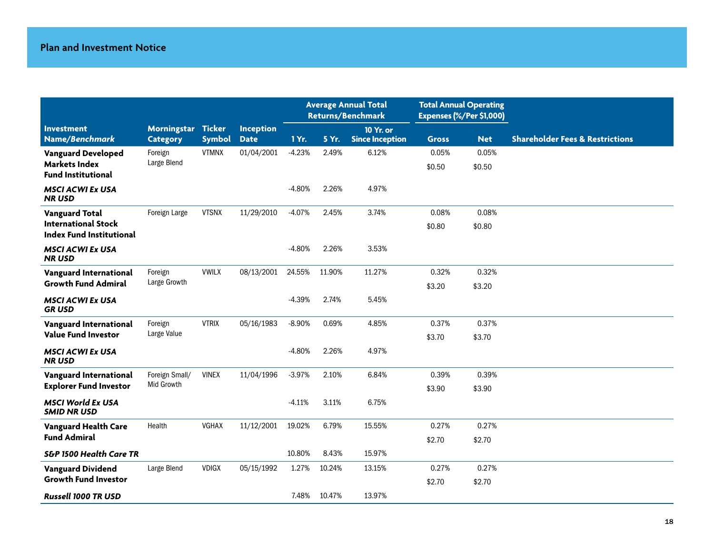|                                                               |                        |               |                  | <b>Average Annual Total</b><br><b>Returns/Benchmark</b> |        | <b>Total Annual Operating</b><br>Expenses (%/Per \$1,000) |                 |                 |                                            |
|---------------------------------------------------------------|------------------------|---------------|------------------|---------------------------------------------------------|--------|-----------------------------------------------------------|-----------------|-----------------|--------------------------------------------|
| <b>Investment</b>                                             | Morningstar            | <b>Ticker</b> | <b>Inception</b> |                                                         |        | 10 Yr. or                                                 |                 |                 |                                            |
| Name/Benchmark                                                | <b>Category</b>        | <b>Symbol</b> | <b>Date</b>      | 1 Yr.                                                   | 5 Yr.  | <b>Since Inception</b>                                    | <b>Gross</b>    | <b>Net</b>      | <b>Shareholder Fees &amp; Restrictions</b> |
| <b>Vanguard Developed</b><br><b>Markets Index</b>             | Foreign<br>Large Blend | <b>VTMNX</b>  | 01/04/2001       | $-4.23%$                                                | 2.49%  | 6.12%                                                     | 0.05%<br>\$0.50 | 0.05%<br>\$0.50 |                                            |
| <b>Fund Institutional</b>                                     |                        |               |                  |                                                         |        |                                                           |                 |                 |                                            |
| <b>MSCI ACWI Ex USA</b><br><b>NRUSD</b>                       |                        |               |                  | $-4.80%$                                                | 2.26%  | 4.97%                                                     |                 |                 |                                            |
| <b>Vanguard Total</b>                                         | Foreign Large          | <b>VTSNX</b>  | 11/29/2010       | $-4.07%$                                                | 2.45%  | 3.74%                                                     | 0.08%           | 0.08%           |                                            |
| <b>International Stock</b><br><b>Index Fund Institutional</b> |                        |               |                  |                                                         |        |                                                           | \$0.80          | \$0.80          |                                            |
| <b>MSCI ACWI Ex USA</b><br><b>NR USD</b>                      |                        |               |                  | $-4.80%$                                                | 2.26%  | 3.53%                                                     |                 |                 |                                            |
| <b>Vanguard International</b>                                 | Foreign                | <b>VWILX</b>  | 08/13/2001       | 24.55%                                                  | 11.90% | 11.27%                                                    | 0.32%           | 0.32%           |                                            |
| <b>Growth Fund Admiral</b>                                    | Large Growth           |               |                  |                                                         |        |                                                           | \$3.20          | \$3.20          |                                            |
| <b>MSCI ACWI Ex USA</b><br><b>GRUSD</b>                       |                        |               |                  | $-4.39%$                                                | 2.74%  | 5.45%                                                     |                 |                 |                                            |
| <b>Vanguard International</b>                                 | Foreign                | <b>VTRIX</b>  | 05/16/1983       | $-8.90%$                                                | 0.69%  | 4.85%                                                     | 0.37%           | 0.37%           |                                            |
| <b>Value Fund Investor</b>                                    | Large Value            |               |                  |                                                         |        |                                                           | \$3.70          | \$3.70          |                                            |
| <b>MSCI ACWI Ex USA</b><br><b>NR USD</b>                      |                        |               |                  | $-4.80%$                                                | 2.26%  | 4.97%                                                     |                 |                 |                                            |
| Vanguard International                                        | Foreign Small/         | <b>VINEX</b>  | 11/04/1996       | $-3.97%$                                                | 2.10%  | 6.84%                                                     | 0.39%           | 0.39%           |                                            |
| <b>Explorer Fund Investor</b>                                 | Mid Growth             |               |                  |                                                         |        |                                                           | \$3.90          | \$3.90          |                                            |
| <b>MSCI World Ex USA</b><br><b>SMID NR USD</b>                |                        |               |                  | $-4.11%$                                                | 3.11%  | 6.75%                                                     |                 |                 |                                            |
| <b>Vanguard Health Care</b>                                   | Health                 | VGHAX         | 11/12/2001       | 19.02%                                                  | 6.79%  | 15.55%                                                    | 0.27%           | 0.27%           |                                            |
| <b>Fund Admiral</b>                                           |                        |               |                  |                                                         |        |                                                           | \$2.70          | \$2.70          |                                            |
| <b>S&amp;P 1500 Health Care TR</b>                            |                        |               |                  | 10.80%                                                  | 8.43%  | 15.97%                                                    |                 |                 |                                            |
| <b>Vanguard Dividend</b>                                      | Large Blend            | <b>VDIGX</b>  | 05/15/1992       | 1.27%                                                   | 10.24% | 13.15%                                                    | 0.27%           | 0.27%           |                                            |
| <b>Growth Fund Investor</b>                                   |                        |               |                  |                                                         |        |                                                           | \$2.70          | \$2.70          |                                            |
| <b>Russell 1000 TR USD</b>                                    |                        |               |                  | 7.48%                                                   | 10.47% | 13.97%                                                    |                 |                 |                                            |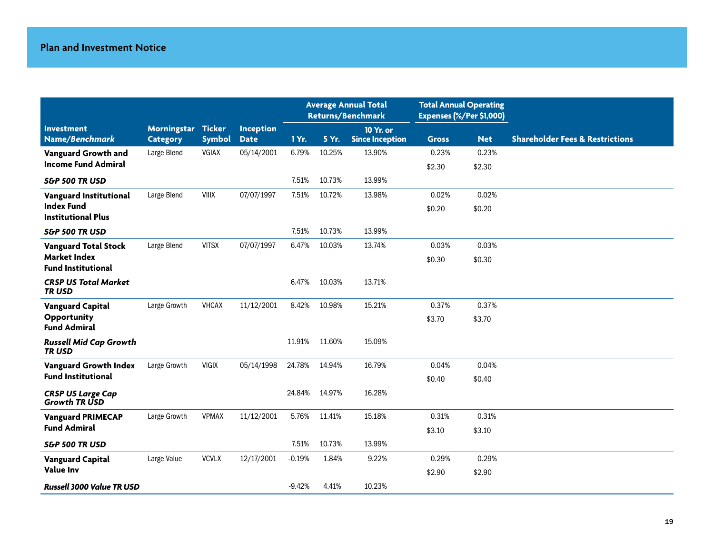|                                                  |                    |               |                  | <b>Average Annual Total</b><br><b>Returns/Benchmark</b> |        | <b>Total Annual Operating</b><br>Expenses (%/Per \$1,000) |              |            |                                            |
|--------------------------------------------------|--------------------|---------------|------------------|---------------------------------------------------------|--------|-----------------------------------------------------------|--------------|------------|--------------------------------------------|
| <b>Investment</b>                                | Morningstar Ticker |               | <b>Inception</b> |                                                         |        | 10 Yr. or                                                 |              |            |                                            |
| Name/Benchmark                                   | <b>Category</b>    | <b>Symbol</b> | <b>Date</b>      | 1 Yr.                                                   | 5 Yr.  | <b>Since Inception</b>                                    | <b>Gross</b> | <b>Net</b> | <b>Shareholder Fees &amp; Restrictions</b> |
| Vanguard Growth and                              | Large Blend        | <b>VGIAX</b>  | 05/14/2001       | 6.79%                                                   | 10.25% | 13.90%                                                    | 0.23%        | 0.23%      |                                            |
| <b>Income Fund Admiral</b>                       |                    |               |                  |                                                         |        |                                                           | \$2.30       | \$2.30     |                                            |
| <b>S&amp;P 500 TR USD</b>                        |                    |               |                  | 7.51%                                                   | 10.73% | 13.99%                                                    |              |            |                                            |
| <b>Vanguard Institutional</b>                    | Large Blend        | <b>VIIIX</b>  | 07/07/1997       | 7.51%                                                   | 10.72% | 13.98%                                                    | 0.02%        | 0.02%      |                                            |
| <b>Index Fund</b><br><b>Institutional Plus</b>   |                    |               |                  |                                                         |        |                                                           | \$0.20       | \$0.20     |                                            |
|                                                  |                    |               |                  |                                                         |        |                                                           |              |            |                                            |
| <b>S&amp;P 500 TR USD</b>                        |                    |               |                  | 7.51%                                                   | 10.73% | 13.99%                                                    |              |            |                                            |
| <b>Vanguard Total Stock</b>                      | Large Blend        | <b>VITSX</b>  | 07/07/1997       | 6.47%                                                   | 10.03% | 13.74%                                                    | 0.03%        | 0.03%      |                                            |
| <b>Market Index</b><br><b>Fund Institutional</b> |                    |               |                  |                                                         |        |                                                           | \$0.30       | \$0.30     |                                            |
| <b>CRSP US Total Market</b>                      |                    |               |                  | 6.47%                                                   | 10.03% | 13.71%                                                    |              |            |                                            |
| <b>TRUSD</b>                                     |                    |               |                  |                                                         |        |                                                           |              |            |                                            |
| <b>Vanguard Capital</b>                          | Large Growth       | <b>VHCAX</b>  | 11/12/2001       | 8.42%                                                   | 10.98% | 15.21%                                                    | 0.37%        | 0.37%      |                                            |
| Opportunity                                      |                    |               |                  |                                                         |        |                                                           | \$3.70       | \$3.70     |                                            |
| <b>Fund Admiral</b>                              |                    |               |                  |                                                         |        |                                                           |              |            |                                            |
| <b>Russell Mid Cap Growth</b><br><b>TRUSD</b>    |                    |               |                  | 11.91%                                                  | 11.60% | 15.09%                                                    |              |            |                                            |
| <b>Vanguard Growth Index</b>                     | Large Growth       | <b>VIGIX</b>  | 05/14/1998       | 24.78%                                                  | 14.94% | 16.79%                                                    | 0.04%        | 0.04%      |                                            |
| <b>Fund Institutional</b>                        |                    |               |                  |                                                         |        |                                                           | \$0.40       | \$0.40     |                                            |
| <b>CRSP US Large Cap</b><br><b>Growth TR USD</b> |                    |               |                  | 24.84%                                                  | 14.97% | 16.28%                                                    |              |            |                                            |
| <b>Vanguard PRIMECAP</b>                         | Large Growth       | <b>VPMAX</b>  | 11/12/2001       | 5.76%                                                   | 11.41% | 15.18%                                                    | 0.31%        | 0.31%      |                                            |
| <b>Fund Admiral</b>                              |                    |               |                  |                                                         |        |                                                           | \$3.10       | \$3.10     |                                            |
| <b>S&amp;P 500 TR USD</b>                        |                    |               |                  | 7.51%                                                   | 10.73% | 13.99%                                                    |              |            |                                            |
| <b>Vanguard Capital</b>                          | Large Value        | <b>VCVLX</b>  | 12/17/2001       | $-0.19%$                                                | 1.84%  | 9.22%                                                     | 0.29%        | 0.29%      |                                            |
| <b>Value Inv</b>                                 |                    |               |                  |                                                         |        |                                                           | \$2.90       | \$2.90     |                                            |
| <b>Russell 3000 Value TR USD</b>                 |                    |               |                  | $-9.42%$                                                | 4.41%  | 10.23%                                                    |              |            |                                            |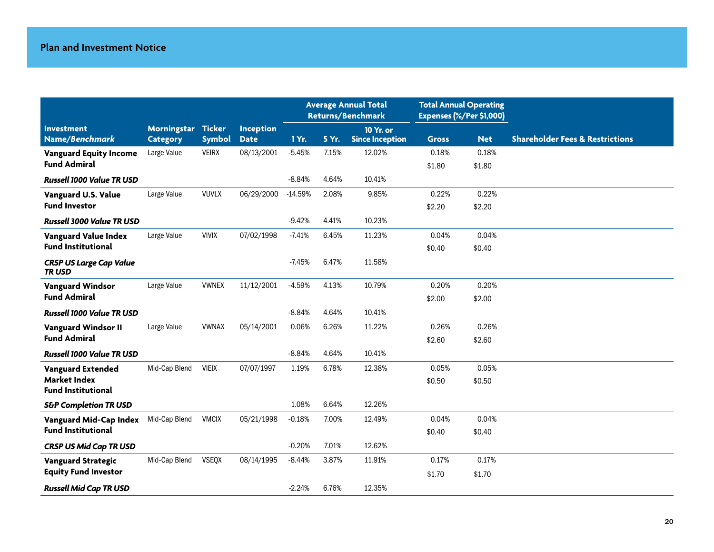|                                          |                    |               |             | <b>Average Annual Total</b><br><b>Returns/Benchmark</b> |       | <b>Total Annual Operating</b><br>Expenses (%/Per \$1,000) |              |            |                                            |
|------------------------------------------|--------------------|---------------|-------------|---------------------------------------------------------|-------|-----------------------------------------------------------|--------------|------------|--------------------------------------------|
| <b>Investment</b>                        | Morningstar Ticker |               | Inception   |                                                         |       | <b>10 Yr. or</b>                                          |              |            |                                            |
| Name/Benchmark                           | <b>Category</b>    | <b>Symbol</b> | <b>Date</b> | 1 Yr.                                                   | 5 Yr. | <b>Since Inception</b>                                    | <b>Gross</b> | <b>Net</b> | <b>Shareholder Fees &amp; Restrictions</b> |
| <b>Vanguard Equity Income</b>            | Large Value        | <b>VEIRX</b>  | 08/13/2001  | $-5.45%$                                                | 7.15% | 12.02%                                                    | 0.18%        | 0.18%      |                                            |
| <b>Fund Admiral</b>                      |                    |               |             |                                                         |       |                                                           | \$1.80       | \$1.80     |                                            |
| <b>Russell 1000 Value TR USD</b>         |                    |               |             | $-8.84%$                                                | 4.64% | 10.41%                                                    |              |            |                                            |
| Vanguard U.S. Value                      | Large Value        | <b>VUVLX</b>  | 06/29/2000  | $-14.59%$                                               | 2.08% | 9.85%                                                     | 0.22%        | 0.22%      |                                            |
| <b>Fund Investor</b>                     |                    |               |             |                                                         |       |                                                           | \$2.20       | \$2.20     |                                            |
| <b>Russell 3000 Value TR USD</b>         |                    |               |             | $-9.42%$                                                | 4.41% | 10.23%                                                    |              |            |                                            |
| <b>Vanguard Value Index</b>              | Large Value        | <b>VIVIX</b>  | 07/02/1998  | $-7.41%$                                                | 6.45% | 11.23%                                                    | 0.04%        | 0.04%      |                                            |
| <b>Fund Institutional</b>                |                    |               |             |                                                         |       |                                                           | \$0.40       | \$0.40     |                                            |
| <b>CRSP US Large Cap Value</b><br>TR USD |                    |               |             | $-7.45%$                                                | 6.47% | 11.58%                                                    |              |            |                                            |
| <b>Vanguard Windsor</b>                  | Large Value        | <b>VWNEX</b>  | 11/12/2001  | $-4.59%$                                                | 4.13% | 10.79%                                                    | 0.20%        | 0.20%      |                                            |
| <b>Fund Admiral</b>                      |                    |               |             |                                                         |       |                                                           | \$2.00       | \$2.00     |                                            |
| <b>Russell 1000 Value TR USD</b>         |                    |               |             | $-8.84%$                                                | 4.64% | 10.41%                                                    |              |            |                                            |
| <b>Vanguard Windsor II</b>               | Large Value        | <b>VWNAX</b>  | 05/14/2001  | 0.06%                                                   | 6.26% | 11.22%                                                    | 0.26%        | 0.26%      |                                            |
| <b>Fund Admiral</b>                      |                    |               |             |                                                         |       |                                                           | \$2.60       | \$2.60     |                                            |
| <b>Russell 1000 Value TR USD</b>         |                    |               |             | $-8.84%$                                                | 4.64% | 10.41%                                                    |              |            |                                            |
| <b>Vanguard Extended</b>                 | Mid-Cap Blend      | <b>VIEIX</b>  | 07/07/1997  | 1.19%                                                   | 6.78% | 12.38%                                                    | 0.05%        | 0.05%      |                                            |
| <b>Market Index</b>                      |                    |               |             |                                                         |       |                                                           | \$0.50       | \$0.50     |                                            |
| <b>Fund Institutional</b>                |                    |               |             |                                                         |       |                                                           |              |            |                                            |
| <b>S&amp;P Completion TR USD</b>         |                    |               |             | 1.08%                                                   | 6.64% | 12.26%                                                    |              |            |                                            |
| Vanguard Mid-Cap Index                   | Mid-Cap Blend      | <b>VMCIX</b>  | 05/21/1998  | $-0.18%$                                                | 7.00% | 12.49%                                                    | 0.04%        | 0.04%      |                                            |
| <b>Fund Institutional</b>                |                    |               |             |                                                         |       |                                                           | \$0.40       | \$0.40     |                                            |
| <b>CRSP US Mid Cap TR USD</b>            |                    |               |             | $-0.20%$                                                | 7.01% | 12.62%                                                    |              |            |                                            |
| <b>Vanguard Strategic</b>                | Mid-Cap Blend      | <b>VSEQX</b>  | 08/14/1995  | $-8.44%$                                                | 3.87% | 11.91%                                                    | 0.17%        | 0.17%      |                                            |
| <b>Equity Fund Investor</b>              |                    |               |             |                                                         |       |                                                           | \$1.70       | \$1.70     |                                            |
| <b>Russell Mid Cap TR USD</b>            |                    |               |             | $-2.24%$                                                | 6.76% | 12.35%                                                    |              |            |                                            |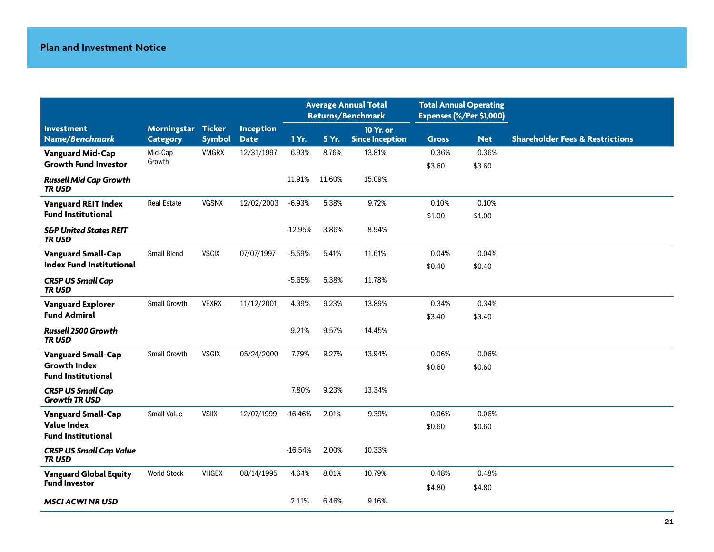|                                                   |                                       |               |                          | <b>Average Annual Total</b><br><b>Returns/Benchmark</b> |        | <b>Total Annual Operating</b><br>Expenses (%/Per \$1,000) |              |            |                                            |
|---------------------------------------------------|---------------------------------------|---------------|--------------------------|---------------------------------------------------------|--------|-----------------------------------------------------------|--------------|------------|--------------------------------------------|
| <b>Investment</b><br>Name/Benchmark               | Morningstar Ticker<br><b>Category</b> | <b>Symbol</b> | Inception<br><b>Date</b> | 1 Yr.                                                   | 5 Yr.  | 10 Yr. or<br><b>Since Inception</b>                       | <b>Gross</b> | <b>Net</b> | <b>Shareholder Fees &amp; Restrictions</b> |
| <b>Vanguard Mid-Cap</b>                           | Mid-Cap                               | <b>VMGRX</b>  | 12/31/1997               | 6.93%                                                   | 8.76%  | 13.81%                                                    | 0.36%        | 0.36%      |                                            |
| <b>Growth Fund Investor</b>                       | Growth                                |               |                          |                                                         |        |                                                           | \$3.60       | \$3.60     |                                            |
| <b>Russell Mid Cap Growth</b><br><b>TRUSD</b>     |                                       |               |                          | 11.91%                                                  | 11.60% | 15.09%                                                    |              |            |                                            |
| <b>Vanguard REIT Index</b>                        | <b>Real Estate</b>                    | <b>VGSNX</b>  | 12/02/2003               | $-6.93%$                                                | 5.38%  | 9.72%                                                     | 0.10%        | 0.10%      |                                            |
| <b>Fund Institutional</b>                         |                                       |               |                          |                                                         |        |                                                           | \$1.00       | \$1.00     |                                            |
| <b>S&amp;P United States REIT</b><br><b>TRUSD</b> |                                       |               |                          | $-12.95%$                                               | 3.86%  | 8.94%                                                     |              |            |                                            |
| <b>Vanguard Small-Cap</b>                         | Small Blend                           | <b>VSCIX</b>  | 07/07/1997               | $-5.59%$                                                | 5.41%  | 11.61%                                                    | 0.04%        | 0.04%      |                                            |
| Index Fund Institutional                          |                                       |               |                          |                                                         |        |                                                           | \$0.40       | \$0.40     |                                            |
| <b>CRSP US Small Cap</b><br><b>TRUSD</b>          |                                       |               |                          | $-5.65%$                                                | 5.38%  | 11.78%                                                    |              |            |                                            |
| <b>Vanguard Explorer</b>                          | Small Growth                          | <b>VEXRX</b>  | 11/12/2001               | 4.39%                                                   | 9.23%  | 13.89%                                                    | 0.34%        | 0.34%      |                                            |
| <b>Fund Admiral</b>                               |                                       |               |                          |                                                         |        |                                                           | \$3.40       | \$3.40     |                                            |
| Russell 2500 Growth<br><b>TRUSD</b>               |                                       |               |                          | 9.21%                                                   | 9.57%  | 14.45%                                                    |              |            |                                            |
| <b>Vanguard Small-Cap</b>                         | Small Growth                          | <b>VSGIX</b>  | 05/24/2000               | 7.79%                                                   | 9.27%  | 13.94%                                                    | 0.06%        | 0.06%      |                                            |
| <b>Growth Index</b><br><b>Fund Institutional</b>  |                                       |               |                          |                                                         |        |                                                           | \$0.60       | \$0.60     |                                            |
| <b>CRSP US Small Cap</b><br><b>Growth TR USD</b>  |                                       |               |                          | 7.80%                                                   | 9.23%  | 13.34%                                                    |              |            |                                            |
| <b>Vanguard Small-Cap</b>                         | <b>Small Value</b>                    | <b>VSIIX</b>  | 12/07/1999               | $-16.46%$                                               | 2.01%  | 9.39%                                                     | 0.06%        | 0.06%      |                                            |
| <b>Value Index</b><br><b>Fund Institutional</b>   |                                       |               |                          |                                                         |        |                                                           | \$0.60       | \$0.60     |                                            |
| <b>CRSP US Small Cap Value</b><br>TRUSD           |                                       |               |                          | $-16.54%$                                               | 2.00%  | 10.33%                                                    |              |            |                                            |
| <b>Vanguard Global Equity</b>                     | <b>World Stock</b>                    | <b>VHGEX</b>  | 08/14/1995               | 4.64%                                                   | 8.01%  | 10.79%                                                    | 0.48%        | 0.48%      |                                            |
| <b>Fund Investor</b>                              |                                       |               |                          |                                                         |        |                                                           | \$4.80       | \$4.80     |                                            |
| <b>MSCI ACWI NR USD</b>                           |                                       |               |                          | 2.11%                                                   | 6.46%  | 9.16%                                                     |              |            |                                            |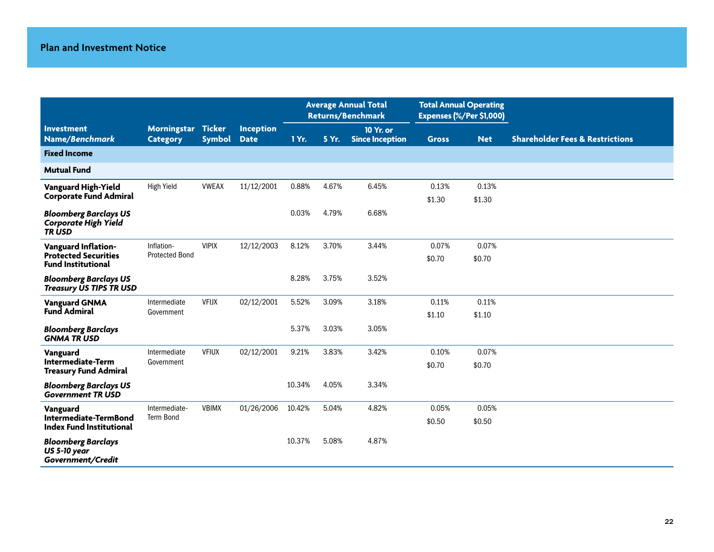|                                                                                 |                                       |                         |                          | <b>Average Annual Total</b><br><b>Returns/Benchmark</b> |       | <b>Total Annual Operating</b><br>Expenses (%/Per \$1,000) |                 |                 |                                            |
|---------------------------------------------------------------------------------|---------------------------------------|-------------------------|--------------------------|---------------------------------------------------------|-------|-----------------------------------------------------------|-----------------|-----------------|--------------------------------------------|
| <b>Investment</b><br>Name/Benchmark                                             | <b>Morningstar</b><br><b>Category</b> | Ticker<br><b>Symbol</b> | Inception<br><b>Date</b> | 1 Yr.                                                   | 5 Yr. | 10 Yr. or<br><b>Since Inception</b>                       | <b>Gross</b>    | <b>Net</b>      | <b>Shareholder Fees &amp; Restrictions</b> |
| <b>Fixed Income</b>                                                             |                                       |                         |                          |                                                         |       |                                                           |                 |                 |                                            |
| <b>Mutual Fund</b>                                                              |                                       |                         |                          |                                                         |       |                                                           |                 |                 |                                            |
| Vanguard High-Yield<br><b>Corporate Fund Admiral</b>                            | <b>High Yield</b>                     | <b>VWEAX</b>            | 11/12/2001               | 0.88%                                                   | 4.67% | 6.45%                                                     | 0.13%<br>\$1.30 | 0.13%<br>\$1.30 |                                            |
| <b>Bloomberg Barclays US</b><br><b>Corporate High Yield</b><br><b>TRUSD</b>     |                                       |                         |                          | 0.03%                                                   | 4.79% | 6.68%                                                     |                 |                 |                                            |
| Vanguard Inflation-<br><b>Protected Securities</b><br><b>Fund Institutional</b> | Inflation-<br><b>Protected Bond</b>   | <b>VIPIX</b>            | 12/12/2003               | 8.12%                                                   | 3.70% | 3.44%                                                     | 0.07%<br>\$0.70 | 0.07%<br>\$0.70 |                                            |
| <b>Bloomberg Barclays US</b><br><b>Treasury US TIPS TR USD</b>                  |                                       |                         |                          | 8.28%                                                   | 3.75% | 3.52%                                                     |                 |                 |                                            |
| <b>Vanguard GNMA</b><br><b>Fund Admiral</b>                                     | Intermediate<br>Government            | <b>VFIJX</b>            | 02/12/2001               | 5.52%                                                   | 3.09% | 3.18%                                                     | 0.11%<br>\$1.10 | 0.11%<br>\$1.10 |                                            |
| <b>Bloomberg Barclays</b><br><b>GNMA TRUSD</b>                                  |                                       |                         |                          | 5.37%                                                   | 3.03% | 3.05%                                                     |                 |                 |                                            |
| Vanguard<br><b>Intermediate-Term</b><br><b>Treasury Fund Admiral</b>            | Intermediate<br>Government            | <b>VFIUX</b>            | 02/12/2001               | 9.21%                                                   | 3.83% | 3.42%                                                     | 0.10%<br>\$0.70 | 0.07%<br>\$0.70 |                                            |
| <b>Bloomberg Barclays US</b><br><b>Government TR USD</b>                        |                                       |                         |                          | 10.34%                                                  | 4.05% | 3.34%                                                     |                 |                 |                                            |
| Vanguard<br>Intermediate-TermBond<br><b>Index Fund Institutional</b>            | Intermediate-<br><b>Term Bond</b>     | <b>VBIMX</b>            | 01/26/2006               | 10.42%                                                  | 5.04% | 4.82%                                                     | 0.05%<br>\$0.50 | 0.05%<br>\$0.50 |                                            |
| <b>Bloomberg Barclays</b><br><b>US 5-10 year</b><br>Government/Credit           |                                       |                         |                          | 10.37%                                                  | 5.08% | 4.87%                                                     |                 |                 |                                            |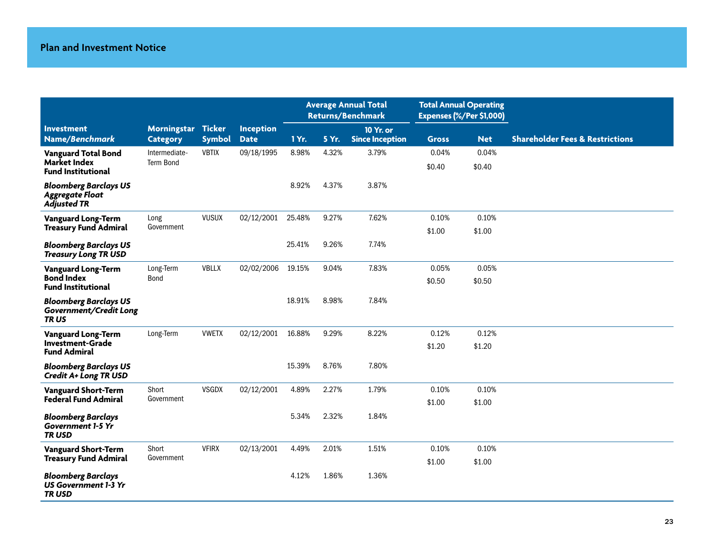|                                                                                |                                   |               |                  | <b>Average Annual Total</b><br><b>Returns/Benchmark</b> |       | <b>Total Annual Operating</b><br>Expenses (%/Per \$1,000) |                 |                 |                                            |
|--------------------------------------------------------------------------------|-----------------------------------|---------------|------------------|---------------------------------------------------------|-------|-----------------------------------------------------------|-----------------|-----------------|--------------------------------------------|
| <b>Investment</b>                                                              | Morningstar Ticker                |               | <b>Inception</b> |                                                         |       | 10 Yr. or                                                 |                 |                 |                                            |
| Name/Benchmark                                                                 | <b>Category</b>                   | <b>Symbol</b> | <b>Date</b>      | 1 Yr.                                                   | 5 Yr. | <b>Since Inception</b>                                    | <b>Gross</b>    | <b>Net</b>      | <b>Shareholder Fees &amp; Restrictions</b> |
| <b>Vanguard Total Bond</b><br><b>Market Index</b><br><b>Fund Institutional</b> | Intermediate-<br><b>Term Bond</b> | <b>VBTIX</b>  | 09/18/1995       | 8.98%                                                   | 4.32% | 3.79%                                                     | 0.04%<br>\$0.40 | 0.04%<br>\$0.40 |                                            |
| <b>Bloomberg Barclays US</b><br><b>Aggregate Float</b><br><b>Adjusted TR</b>   |                                   |               |                  | 8.92%                                                   | 4.37% | 3.87%                                                     |                 |                 |                                            |
| <b>Vanguard Long-Term</b>                                                      | Long                              | <b>VUSUX</b>  | 02/12/2001       | 25.48%                                                  | 9.27% | 7.62%                                                     | 0.10%           | 0.10%           |                                            |
| <b>Treasury Fund Admiral</b>                                                   | Government                        |               |                  |                                                         |       |                                                           | \$1.00          | \$1.00          |                                            |
| <b>Bloomberg Barclays US</b><br><b>Treasury Long TR USD</b>                    |                                   |               |                  | 25.41%                                                  | 9.26% | 7.74%                                                     |                 |                 |                                            |
| <b>Vanguard Long-Term</b>                                                      | Long-Term                         | VBLLX         | 02/02/2006       | 19.15%                                                  | 9.04% | 7.83%                                                     | 0.05%           | 0.05%           |                                            |
| <b>Bond Index</b><br><b>Fund Institutional</b>                                 | Bond                              |               |                  |                                                         |       |                                                           | \$0.50          | \$0.50          |                                            |
| <b>Bloomberg Barclays US</b><br>Government/Credit Long<br>TRUS                 |                                   |               |                  | 18.91%                                                  | 8.98% | 7.84%                                                     |                 |                 |                                            |
| <b>Vanguard Long-Term</b>                                                      | Long-Term                         | <b>VWETX</b>  | 02/12/2001       | 16.88%                                                  | 9.29% | 8.22%                                                     | 0.12%           | 0.12%           |                                            |
| <b>Investment-Grade</b><br><b>Fund Admiral</b>                                 |                                   |               |                  |                                                         |       |                                                           | \$1.20          | \$1.20          |                                            |
| <b>Bloomberg Barclays US</b><br>Credit A+ Long TR USD                          |                                   |               |                  | 15.39%                                                  | 8.76% | 7.80%                                                     |                 |                 |                                            |
| <b>Vanguard Short-Term</b>                                                     | Short                             | <b>VSGDX</b>  | 02/12/2001       | 4.89%                                                   | 2.27% | 1.79%                                                     | 0.10%           | 0.10%           |                                            |
| <b>Federal Fund Admiral</b>                                                    | Government                        |               |                  |                                                         |       |                                                           | \$1.00          | \$1.00          |                                            |
| <b>Bloomberg Barclays</b><br><b>Government 1-5 Yr</b><br><b>TRUSD</b>          |                                   |               |                  | 5.34%                                                   | 2.32% | 1.84%                                                     |                 |                 |                                            |
| <b>Vanguard Short-Term</b>                                                     | Short                             | <b>VFIRX</b>  | 02/13/2001       | 4.49%                                                   | 2.01% | 1.51%                                                     | 0.10%           | 0.10%           |                                            |
| <b>Treasury Fund Admiral</b>                                                   | Government                        |               |                  |                                                         |       |                                                           | \$1.00          | \$1.00          |                                            |
| <b>Bloomberg Barclays</b><br><b>US Government 1-3 Yr</b><br><b>TRUSD</b>       |                                   |               |                  | 4.12%                                                   | 1.86% | 1.36%                                                     |                 |                 |                                            |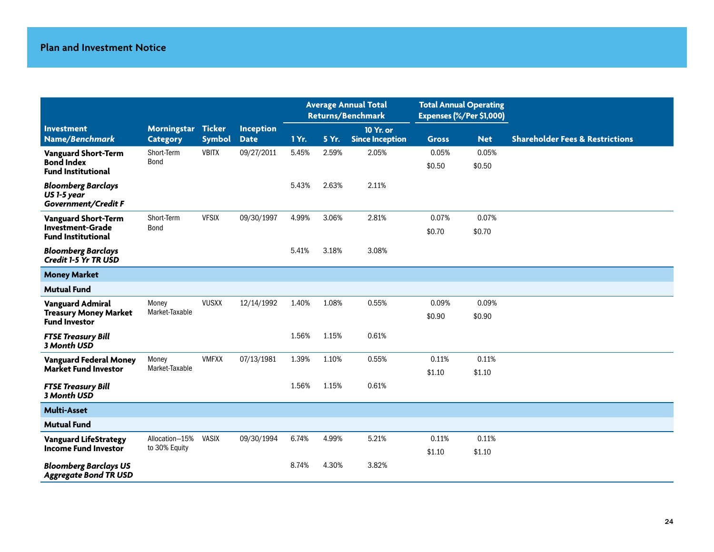|                                                                 |                    |               |                  | <b>Average Annual Total</b><br><b>Returns/Benchmark</b> |       | <b>Total Annual Operating</b><br>Expenses (%/Per \$1,000) |              |            |                                            |
|-----------------------------------------------------------------|--------------------|---------------|------------------|---------------------------------------------------------|-------|-----------------------------------------------------------|--------------|------------|--------------------------------------------|
| <b>Investment</b>                                               | Morningstar Ticker |               | <b>Inception</b> |                                                         |       | 10 Yr. or                                                 |              |            |                                            |
| Name/Benchmark                                                  | <b>Category</b>    | <b>Symbol</b> | <b>Date</b>      | 1 Yr.                                                   | 5 Yr. | <b>Since Inception</b>                                    | <b>Gross</b> | <b>Net</b> | <b>Shareholder Fees &amp; Restrictions</b> |
| <b>Vanguard Short-Term</b>                                      | Short-Term         | <b>VBITX</b>  | 09/27/2011       | 5.45%                                                   | 2.59% | 2.05%                                                     | 0.05%        | 0.05%      |                                            |
| <b>Bond Index</b><br><b>Fund Institutional</b>                  | <b>Bond</b>        |               |                  |                                                         |       |                                                           | \$0.50       | \$0.50     |                                            |
| <b>Bloomberg Barclays</b><br>US 1-5 year<br>Government/Credit F |                    |               |                  | 5.43%                                                   | 2.63% | 2.11%                                                     |              |            |                                            |
| <b>Vanguard Short-Term</b>                                      | Short-Term         | <b>VFSIX</b>  | 09/30/1997       | 4.99%                                                   | 3.06% | 2.81%                                                     | 0.07%        | 0.07%      |                                            |
| <b>Investment-Grade</b><br><b>Fund Institutional</b>            | Bond               |               |                  |                                                         |       |                                                           | \$0.70       | \$0.70     |                                            |
| <b>Bloomberg Barclays</b><br>Credit 1-5 Yr TR USD               |                    |               |                  | 5.41%                                                   | 3.18% | 3.08%                                                     |              |            |                                            |
| <b>Money Market</b>                                             |                    |               |                  |                                                         |       |                                                           |              |            |                                            |
| <b>Mutual Fund</b>                                              |                    |               |                  |                                                         |       |                                                           |              |            |                                            |
| <b>Vanguard Admiral</b>                                         | Money              | <b>VUSXX</b>  | 12/14/1992       | 1.40%                                                   | 1.08% | 0.55%                                                     | 0.09%        | 0.09%      |                                            |
| <b>Treasury Money Market</b><br><b>Fund Investor</b>            | Market-Taxable     |               |                  |                                                         |       |                                                           | \$0.90       | \$0.90     |                                            |
| <b>FTSE Treasury Bill</b><br>3 Month USD                        |                    |               |                  | 1.56%                                                   | 1.15% | 0.61%                                                     |              |            |                                            |
| <b>Vanguard Federal Money</b>                                   | Money              | <b>VMFXX</b>  | 07/13/1981       | 1.39%                                                   | 1.10% | 0.55%                                                     | 0.11%        | 0.11%      |                                            |
| <b>Market Fund Investor</b>                                     | Market-Taxable     |               |                  |                                                         |       |                                                           | \$1.10       | \$1.10     |                                            |
| <b>FTSE Treasury Bill</b><br>3 Month USD                        |                    |               |                  | 1.56%                                                   | 1.15% | 0.61%                                                     |              |            |                                            |
| <b>Multi-Asset</b>                                              |                    |               |                  |                                                         |       |                                                           |              |            |                                            |
| <b>Mutual Fund</b>                                              |                    |               |                  |                                                         |       |                                                           |              |            |                                            |
| <b>Vanguard LifeStrategy</b>                                    | Allocation-15%     | <b>VASIX</b>  | 09/30/1994       | 6.74%                                                   | 4.99% | 5.21%                                                     | 0.11%        | 0.11%      |                                            |
| <b>Income Fund Investor</b>                                     | to 30% Equity      |               |                  |                                                         |       |                                                           | \$1.10       | \$1.10     |                                            |
| <b>Bloomberg Barclays US</b><br><b>Aggregate Bond TR USD</b>    |                    |               |                  | 8.74%                                                   | 4.30% | 3.82%                                                     |              |            |                                            |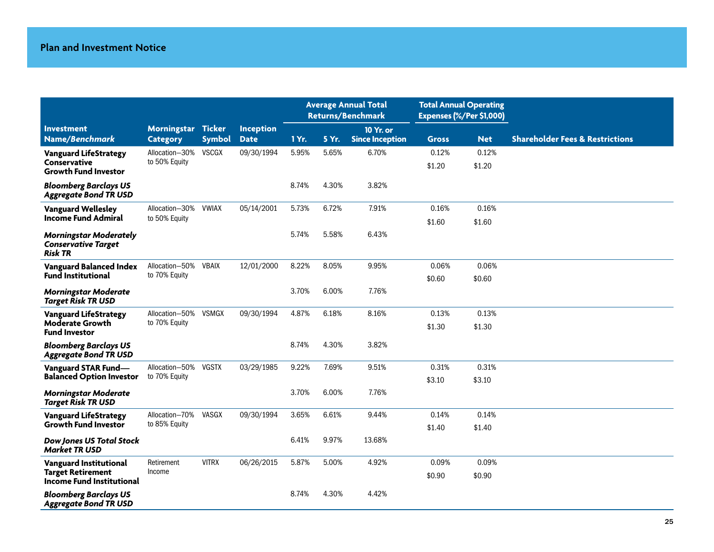|                                                                        |                    |               |                  | <b>Average Annual Total</b><br><b>Returns/Benchmark</b> |       | <b>Total Annual Operating</b><br>Expenses (%/Per \$1,000) |              |            |                                            |
|------------------------------------------------------------------------|--------------------|---------------|------------------|---------------------------------------------------------|-------|-----------------------------------------------------------|--------------|------------|--------------------------------------------|
| <b>Investment</b>                                                      | Morningstar Ticker |               | <b>Inception</b> |                                                         |       | 10 Yr. or                                                 |              |            |                                            |
| Name/Benchmark                                                         | <b>Category</b>    | <b>Symbol</b> | <b>Date</b>      | 1 Yr.                                                   | 5 Yr. | <b>Since Inception</b>                                    | <b>Gross</b> | <b>Net</b> | <b>Shareholder Fees &amp; Restrictions</b> |
| <b>Vanguard LifeStrategy</b>                                           | Allocation-30%     | <b>VSCGX</b>  | 09/30/1994       | 5.95%                                                   | 5.65% | 6.70%                                                     | 0.12%        | 0.12%      |                                            |
| Conservative<br><b>Growth Fund Investor</b>                            | to 50% Equity      |               |                  |                                                         |       |                                                           | \$1.20       | \$1.20     |                                            |
| <b>Bloomberg Barclays US</b><br><b>Aggregate Bond TR USD</b>           |                    |               |                  | 8.74%                                                   | 4.30% | 3.82%                                                     |              |            |                                            |
| <b>Vanguard Wellesley</b>                                              | Allocation-30%     | <b>VWIAX</b>  | 05/14/2001       | 5.73%                                                   | 6.72% | 7.91%                                                     | 0.16%        | 0.16%      |                                            |
| <b>Income Fund Admiral</b>                                             | to 50% Equity      |               |                  |                                                         |       |                                                           | \$1.60       | \$1.60     |                                            |
| <b>Morningstar Moderately</b><br><b>Conservative Target</b><br>Risk TR |                    |               |                  | 5.74%                                                   | 5.58% | 6.43%                                                     |              |            |                                            |
| <b>Vanguard Balanced Index</b>                                         | Allocation-50%     | <b>VBAIX</b>  | 12/01/2000       | 8.22%                                                   | 8.05% | 9.95%                                                     | 0.06%        | 0.06%      |                                            |
| <b>Fund Institutional</b>                                              | to 70% Equity      |               |                  |                                                         |       |                                                           | \$0.60       | \$0.60     |                                            |
| <b>Morningstar Moderate</b><br><b>Target Risk TR USD</b>               |                    |               |                  | 3.70%                                                   | 6.00% | 7.76%                                                     |              |            |                                            |
| <b>Vanguard LifeStrategy</b>                                           | Allocation-50%     | <b>VSMGX</b>  | 09/30/1994       | 4.87%                                                   | 6.18% | 8.16%                                                     | 0.13%        | 0.13%      |                                            |
| Moderate Growth<br><b>Fund Investor</b>                                | to 70% Equity      |               |                  |                                                         |       |                                                           | \$1.30       | \$1.30     |                                            |
| <b>Bloomberg Barclays US</b><br><b>Aggregate Bond TR USD</b>           |                    |               |                  | 8.74%                                                   | 4.30% | 3.82%                                                     |              |            |                                            |
| <b>Vanguard STAR Fund-</b>                                             | Allocation-50%     | <b>VGSTX</b>  | 03/29/1985       | 9.22%                                                   | 7.69% | 9.51%                                                     | 0.31%        | 0.31%      |                                            |
| <b>Balanced Option Investor</b>                                        | to 70% Equity      |               |                  |                                                         |       |                                                           | \$3.10       | \$3.10     |                                            |
| <b>Morningstar Moderate</b><br><b>Target Risk TR USD</b>               |                    |               |                  | 3.70%                                                   | 6.00% | 7.76%                                                     |              |            |                                            |
| <b>Vanguard LifeStrategy</b>                                           | Allocation-70%     | VASGX         | 09/30/1994       | 3.65%                                                   | 6.61% | 9.44%                                                     | 0.14%        | 0.14%      |                                            |
| <b>Growth Fund Investor</b>                                            | to 85% Equity      |               |                  |                                                         |       |                                                           | \$1.40       | \$1.40     |                                            |
| <b>Dow Jones US Total Stock</b><br><b>Market TR USD</b>                |                    |               |                  | 6.41%                                                   | 9.97% | 13.68%                                                    |              |            |                                            |
| <b>Vanguard Institutional</b>                                          | Retirement         | <b>VITRX</b>  | 06/26/2015       | 5.87%                                                   | 5.00% | 4.92%                                                     | 0.09%        | 0.09%      |                                            |
| <b>Target Retirement</b><br><b>Income Fund Institutional</b>           | Income             |               |                  |                                                         |       |                                                           | \$0.90       | \$0.90     |                                            |
| <b>Bloomberg Barclays US</b><br><b>Aggregate Bond TR USD</b>           |                    |               |                  | 8.74%                                                   | 4.30% | 4.42%                                                     |              |            |                                            |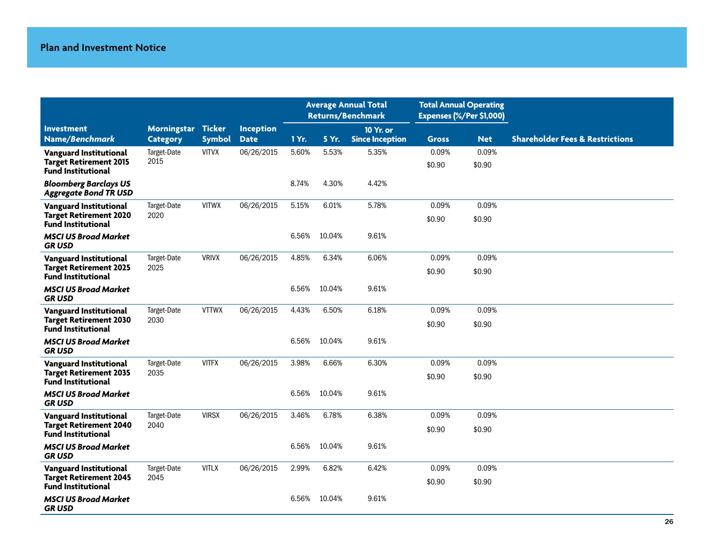|                                                                                      |                     |               |                  | <b>Average Annual Total</b><br><b>Returns/Benchmark</b> |        | <b>Total Annual Operating</b><br>Expenses (%/Per \$1,000) |                 |                 |                                            |
|--------------------------------------------------------------------------------------|---------------------|---------------|------------------|---------------------------------------------------------|--------|-----------------------------------------------------------|-----------------|-----------------|--------------------------------------------|
| <b>Investment</b>                                                                    | Morningstar Ticker  |               | <b>Inception</b> |                                                         |        | 10 Yr. or                                                 |                 |                 |                                            |
| Name/Benchmark                                                                       | <b>Category</b>     | <b>Symbol</b> | <b>Date</b>      | 1 Yr.                                                   | 5 Yr.  | <b>Since Inception</b>                                    | <b>Gross</b>    | <b>Net</b>      | <b>Shareholder Fees &amp; Restrictions</b> |
| Vanguard Institutional<br><b>Target Retirement 2015</b><br><b>Fund Institutional</b> | Target-Date<br>2015 | <b>VITVX</b>  | 06/26/2015       | 5.60%                                                   | 5.53%  | 5.35%                                                     | 0.09%<br>\$0.90 | 0.09%<br>\$0.90 |                                            |
| <b>Bloomberg Barclays US</b><br><b>Aggregate Bond TR USD</b>                         |                     |               |                  | 8.74%                                                   | 4.30%  | 4.42%                                                     |                 |                 |                                            |
| Vanguard Institutional                                                               | Target-Date         | <b>VITWX</b>  | 06/26/2015       | 5.15%                                                   | 6.01%  | 5.78%                                                     | 0.09%           | 0.09%           |                                            |
| <b>Target Retirement 2020</b><br><b>Fund Institutional</b>                           | 2020                |               |                  |                                                         |        |                                                           | \$0.90          | \$0.90          |                                            |
| <b>MSCI US Broad Market</b><br><b>GRUSD</b>                                          |                     |               |                  | 6.56%                                                   | 10.04% | 9.61%                                                     |                 |                 |                                            |
| <b>Vanguard Institutional</b>                                                        | Target-Date         | <b>VRIVX</b>  | 06/26/2015       | 4.85%                                                   | 6.34%  | 6.06%                                                     | 0.09%           | 0.09%           |                                            |
| <b>Target Retirement 2025</b><br><b>Fund Institutional</b>                           | 2025                |               |                  |                                                         |        |                                                           | \$0.90          | \$0.90          |                                            |
| <b>MSCI US Broad Market</b><br><b>GRUSD</b>                                          |                     |               |                  | 6.56%                                                   | 10.04% | 9.61%                                                     |                 |                 |                                            |
| <b>Vanguard Institutional</b>                                                        | Target-Date         | <b>VTTWX</b>  | 06/26/2015       | 4.43%                                                   | 6.50%  | 6.18%                                                     | 0.09%           | 0.09%           |                                            |
| <b>Target Retirement 2030</b><br><b>Fund Institutional</b>                           | 2030                |               |                  |                                                         |        |                                                           | \$0.90          | \$0.90          |                                            |
| <b>MSCI US Broad Market</b><br><b>GRUSD</b>                                          |                     |               |                  | 6.56%                                                   | 10.04% | 9.61%                                                     |                 |                 |                                            |
| <b>Vanguard Institutional</b>                                                        | Target-Date         | <b>VITFX</b>  | 06/26/2015       | 3.98%                                                   | 6.66%  | 6.30%                                                     | 0.09%           | 0.09%           |                                            |
| <b>Target Retirement 2035</b><br>Fund Institutional                                  | 2035                |               |                  |                                                         |        |                                                           | \$0.90          | \$0.90          |                                            |
| <b>MSCI US Broad Market</b><br><b>GRUSD</b>                                          |                     |               |                  | 6.56%                                                   | 10.04% | 9.61%                                                     |                 |                 |                                            |
| <b>Vanguard Institutional</b>                                                        | Target-Date         | <b>VIRSX</b>  | 06/26/2015       | 3.46%                                                   | 6.78%  | 6.38%                                                     | 0.09%           | 0.09%           |                                            |
| <b>Target Retirement 2040</b><br><b>Fund Institutional</b>                           | 2040                |               |                  |                                                         |        |                                                           | \$0.90          | \$0.90          |                                            |
| <b>MSCI US Broad Market</b><br><b>GRUSD</b>                                          |                     |               |                  | 6.56%                                                   | 10.04% | 9.61%                                                     |                 |                 |                                            |
| <b>Vanguard Institutional</b>                                                        | Target-Date         | <b>VITLX</b>  | 06/26/2015       | 2.99%                                                   | 6.82%  | 6.42%                                                     | 0.09%           | 0.09%           |                                            |
| <b>Target Retirement 2045</b><br><b>Fund Institutional</b>                           | 2045                |               |                  |                                                         |        |                                                           | \$0.90          | \$0.90          |                                            |
| <b>MSCI US Broad Market</b><br><b>GRUSD</b>                                          |                     |               |                  | 6.56%                                                   | 10.04% | 9.61%                                                     |                 |                 |                                            |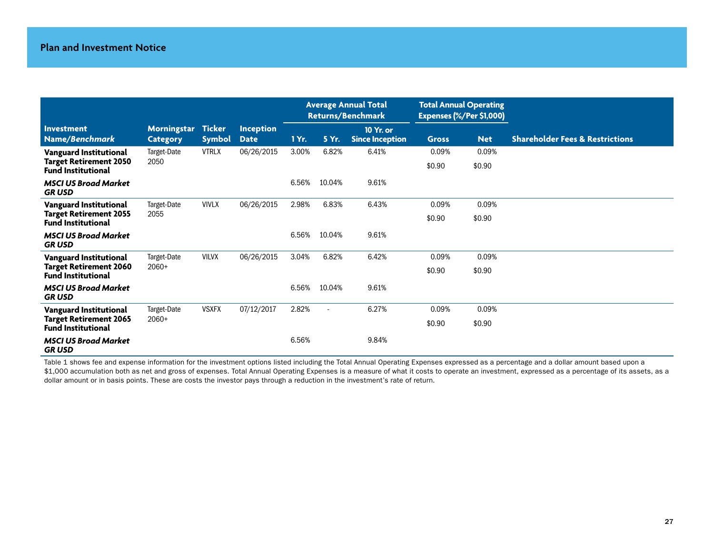|                                                                                             |                                       |                                |                                 | <b>Average Annual Total</b><br><b>Returns/Benchmark</b> |                          |                                     | <b>Total Annual Operating</b><br><b>Expenses (%/Per \$1,000)</b> |                 |                                            |
|---------------------------------------------------------------------------------------------|---------------------------------------|--------------------------------|---------------------------------|---------------------------------------------------------|--------------------------|-------------------------------------|------------------------------------------------------------------|-----------------|--------------------------------------------|
| Investment<br>Name/Benchmark                                                                | <b>Morningstar</b><br><b>Category</b> | <b>Ticker</b><br><b>Symbol</b> | <b>Inception</b><br><b>Date</b> | 1 Yr.                                                   | 5 Yr.                    | 10 Yr. or<br><b>Since Inception</b> | <b>Gross</b>                                                     | <b>Net</b>      | <b>Shareholder Fees &amp; Restrictions</b> |
| <b>Vanguard Institutional</b><br><b>Target Retirement 2050</b><br><b>Fund Institutional</b> | Target-Date<br>2050                   | <b>VTRLX</b>                   | 06/26/2015                      | 3.00%                                                   | 6.82%                    | 6.41%                               | 0.09%<br>\$0.90                                                  | 0.09%<br>\$0.90 |                                            |
| <b>MSCI US Broad Market</b><br><b>GRUSD</b>                                                 |                                       |                                |                                 | 6.56%                                                   | 10.04%                   | 9.61%                               |                                                                  |                 |                                            |
| <b>Vanguard Institutional</b><br><b>Target Retirement 2055</b><br><b>Fund Institutional</b> | Target-Date<br>2055                   | <b>VIVLX</b>                   | 06/26/2015                      | 2.98%                                                   | 6.83%                    | 6.43%                               | 0.09%<br>\$0.90                                                  | 0.09%<br>\$0.90 |                                            |
| <b>MSCI US Broad Market</b><br><b>GRUSD</b>                                                 |                                       |                                |                                 | 6.56%                                                   | 10.04%                   | 9.61%                               |                                                                  |                 |                                            |
| <b>Vanguard Institutional</b>                                                               | Target-Date                           | <b>VILVX</b>                   | 06/26/2015                      | 3.04%                                                   | 6.82%                    | 6.42%                               | 0.09%                                                            | 0.09%           |                                            |
| <b>Target Retirement 2060</b><br><b>Fund Institutional</b>                                  | $2060+$                               |                                |                                 |                                                         |                          |                                     | \$0.90                                                           | \$0.90          |                                            |
| <b>MSCI US Broad Market</b><br><b>GRUSD</b>                                                 |                                       |                                |                                 | 6.56%                                                   | 10.04%                   | 9.61%                               |                                                                  |                 |                                            |
| <b>Vanguard Institutional</b>                                                               | Target-Date                           | <b>VSXFX</b>                   | 07/12/2017                      | 2.82%                                                   | $\overline{\phantom{a}}$ | 6.27%                               | 0.09%                                                            | 0.09%           |                                            |
| <b>Target Retirement 2065</b><br><b>Fund Institutional</b>                                  | $2060+$                               |                                |                                 |                                                         |                          |                                     | \$0.90                                                           | \$0.90          |                                            |
| <b>MSCI US Broad Market</b><br><b>GRUSD</b>                                                 |                                       |                                |                                 | 6.56%                                                   |                          | 9.84%                               |                                                                  |                 |                                            |

Table 1 shows fee and expense information for the investment options listed including the Total Annual Operating Expenses expressed as a percentage and a dollar amount based upon a \$1,000 accumulation both as net and gross of expenses. Total Annual Operating Expenses is a measure of what it costs to operate an investment, expressed as a percentage of its assets, as a dollar amount or in basis points. These are costs the investor pays through a reduction in the investment's rate of return.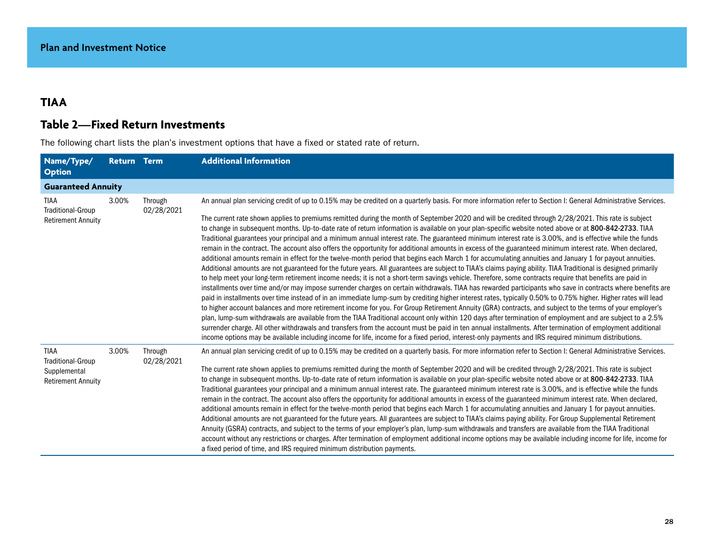# **TIAA**

# **Table 2—Fixed Return Investments**

The following chart lists the plan's investment options that have a fixed or stated rate of return.

| Name/Type/<br><b>Option</b>                                                          | <b>Return Term</b> |                       | <b>Additional Information</b>                                                                                                                                                                                                                                                                                                                                                                                                                                                                                                                                                                                                                                                                                                                                                                                                                                                                                                                                                                                                                                                                                                                                                                                                                                                                                                                                                                                                                                                                                                                                                                                                                                                                                                                                                                                                                                                                                                                                                                                                                                                                                                                                                                                                                                                   |
|--------------------------------------------------------------------------------------|--------------------|-----------------------|---------------------------------------------------------------------------------------------------------------------------------------------------------------------------------------------------------------------------------------------------------------------------------------------------------------------------------------------------------------------------------------------------------------------------------------------------------------------------------------------------------------------------------------------------------------------------------------------------------------------------------------------------------------------------------------------------------------------------------------------------------------------------------------------------------------------------------------------------------------------------------------------------------------------------------------------------------------------------------------------------------------------------------------------------------------------------------------------------------------------------------------------------------------------------------------------------------------------------------------------------------------------------------------------------------------------------------------------------------------------------------------------------------------------------------------------------------------------------------------------------------------------------------------------------------------------------------------------------------------------------------------------------------------------------------------------------------------------------------------------------------------------------------------------------------------------------------------------------------------------------------------------------------------------------------------------------------------------------------------------------------------------------------------------------------------------------------------------------------------------------------------------------------------------------------------------------------------------------------------------------------------------------------|
| <b>Guaranteed Annuity</b>                                                            |                    |                       |                                                                                                                                                                                                                                                                                                                                                                                                                                                                                                                                                                                                                                                                                                                                                                                                                                                                                                                                                                                                                                                                                                                                                                                                                                                                                                                                                                                                                                                                                                                                                                                                                                                                                                                                                                                                                                                                                                                                                                                                                                                                                                                                                                                                                                                                                 |
| TIAA<br><b>Traditional-Group</b><br><b>Retirement Annuity</b>                        | 3.00%              | Through<br>02/28/2021 | An annual plan servicing credit of up to 0.15% may be credited on a quarterly basis. For more information refer to Section I: General Administrative Services.<br>The current rate shown applies to premiums remitted during the month of September 2020 and will be credited through 2/28/2021. This rate is subject<br>to change in subsequent months. Up-to-date rate of return information is available on your plan-specific website noted above or at 800-842-2733. TIAA<br>Traditional guarantees your principal and a minimum annual interest rate. The guaranteed minimum interest rate is 3.00%, and is effective while the funds<br>remain in the contract. The account also offers the opportunity for additional amounts in excess of the guaranteed minimum interest rate. When declared,<br>additional amounts remain in effect for the twelve-month period that begins each March 1 for accumulating annuities and January 1 for payout annuities.<br>Additional amounts are not guaranteed for the future years. All guarantees are subject to TIAA's claims paying ability. TIAA Traditional is designed primarily<br>to help meet your long-term retirement income needs; it is not a short-term savings vehicle. Therefore, some contracts require that benefits are paid in<br>installments over time and/or may impose surrender charges on certain withdrawals. TIAA has rewarded participants who save in contracts where benefits are<br>paid in installments over time instead of in an immediate lump-sum by crediting higher interest rates, typically 0.50% to 0.75% higher. Higher rates will lead<br>to higher account balances and more retirement income for you. For Group Retirement Annuity (GRA) contracts, and subject to the terms of your employer's<br>plan, lump-sum withdrawals are available from the TIAA Traditional account only within 120 days after termination of employment and are subject to a 2.5%<br>surrender charge. All other withdrawals and transfers from the account must be paid in ten annual installments. After termination of employment additional<br>income options may be available including income for life, income for a fixed period, interest-only payments and IRS required minimum distributions. |
| <b>TIAA</b><br><b>Traditional-Group</b><br>Supplemental<br><b>Retirement Annuity</b> | 3.00%              | Through<br>02/28/2021 | An annual plan servicing credit of up to 0.15% may be credited on a quarterly basis. For more information refer to Section I: General Administrative Services.<br>The current rate shown applies to premiums remitted during the month of September 2020 and will be credited through 2/28/2021. This rate is subject<br>to change in subsequent months. Up-to-date rate of return information is available on your plan-specific website noted above or at 800-842-2733. TIAA<br>Traditional guarantees your principal and a minimum annual interest rate. The guaranteed minimum interest rate is 3.00%, and is effective while the funds<br>remain in the contract. The account also offers the opportunity for additional amounts in excess of the guaranteed minimum interest rate. When declared,<br>additional amounts remain in effect for the twelve-month period that begins each March 1 for accumulating annuities and January 1 for payout annuities.<br>Additional amounts are not guaranteed for the future years. All guarantees are subject to TIAA's claims paying ability. For Group Supplemental Retirement<br>Annuity (GSRA) contracts, and subject to the terms of your employer's plan, lump-sum withdrawals and transfers are available from the TIAA Traditional<br>account without any restrictions or charges. After termination of employment additional income options may be available including income for life, income for<br>a fixed period of time, and IRS required minimum distribution payments.                                                                                                                                                                                                                                                                                                                                                                                                                                                                                                                                                                                                                                                                                                                                           |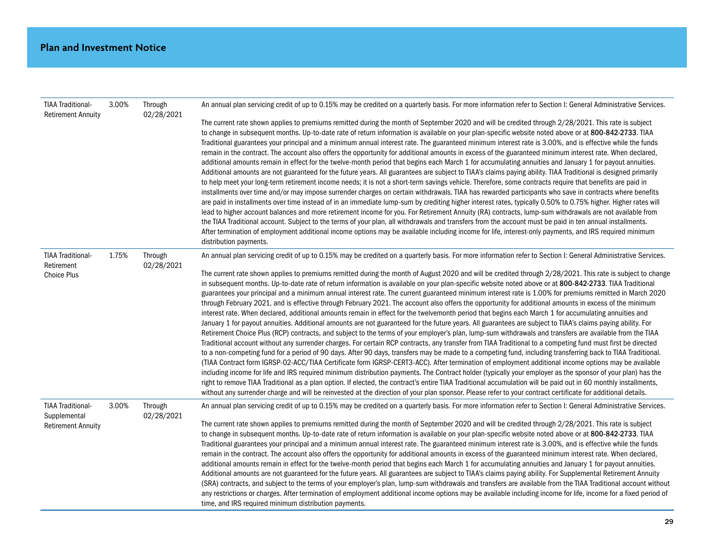| <b>TIAA Traditional-</b>                                              | 3.00% | Through<br>02/28/2021 | An annual plan servicing credit of up to 0.15% may be credited on a quarterly basis. For more information refer to Section I: General Administrative Services.                                                                                                                                                                                                                                                                                                                                                                                                                                                                                                                                                                                                                                                                                                                                                                                                                                                                                                                                                                                                                                                                                                                                                                                                                                                                                                                                                                                                                                                                                                                                                                                                                                                                                                                                                                                                                                                                                                                                                       |
|-----------------------------------------------------------------------|-------|-----------------------|----------------------------------------------------------------------------------------------------------------------------------------------------------------------------------------------------------------------------------------------------------------------------------------------------------------------------------------------------------------------------------------------------------------------------------------------------------------------------------------------------------------------------------------------------------------------------------------------------------------------------------------------------------------------------------------------------------------------------------------------------------------------------------------------------------------------------------------------------------------------------------------------------------------------------------------------------------------------------------------------------------------------------------------------------------------------------------------------------------------------------------------------------------------------------------------------------------------------------------------------------------------------------------------------------------------------------------------------------------------------------------------------------------------------------------------------------------------------------------------------------------------------------------------------------------------------------------------------------------------------------------------------------------------------------------------------------------------------------------------------------------------------------------------------------------------------------------------------------------------------------------------------------------------------------------------------------------------------------------------------------------------------------------------------------------------------------------------------------------------------|
| <b>Retirement Annuity</b>                                             |       |                       | The current rate shown applies to premiums remitted during the month of September 2020 and will be credited through 2/28/2021. This rate is subject<br>to change in subsequent months. Up-to-date rate of return information is available on your plan-specific website noted above or at 800-842-2733. TIAA<br>Traditional guarantees your principal and a minimum annual interest rate. The guaranteed minimum interest rate is 3.00%, and is effective while the funds<br>remain in the contract. The account also offers the opportunity for additional amounts in excess of the guaranteed minimum interest rate. When declared,<br>additional amounts remain in effect for the twelve-month period that begins each March 1 for accumulating annuities and January 1 for payout annuities.<br>Additional amounts are not guaranteed for the future years. All guarantees are subject to TIAA's claims paying ability. TIAA Traditional is designed primarily<br>to help meet your long-term retirement income needs; it is not a short-term savings vehicle. Therefore, some contracts require that benefits are paid in<br>installments over time and/or may impose surrender charges on certain withdrawals. TIAA has rewarded participants who save in contracts where benefits<br>are paid in installments over time instead of in an immediate lump-sum by crediting higher interest rates, typically 0.50% to 0.75% higher. Higher rates will<br>lead to higher account balances and more retirement income for you. For Retirement Annuity (RA) contracts, lump-sum withdrawals are not available from<br>the TIAA Traditional account. Subject to the terms of your plan, all withdrawals and transfers from the account must be paid in ten annual installments.<br>After termination of employment additional income options may be available including income for life, interest-only payments, and IRS required minimum<br>distribution payments.                                                                                                                                                  |
| <b>TIAA Traditional-</b><br>Retirement                                | 1.75% | Through<br>02/28/2021 | An annual plan servicing credit of up to 0.15% may be credited on a quarterly basis. For more information refer to Section I: General Administrative Services.                                                                                                                                                                                                                                                                                                                                                                                                                                                                                                                                                                                                                                                                                                                                                                                                                                                                                                                                                                                                                                                                                                                                                                                                                                                                                                                                                                                                                                                                                                                                                                                                                                                                                                                                                                                                                                                                                                                                                       |
| <b>Choice Plus</b>                                                    |       |                       | The current rate shown applies to premiums remitted during the month of August 2020 and will be credited through 2/28/2021. This rate is subject to change<br>in subsequent months. Up-to-date rate of return information is available on your plan-specific website noted above or at 800-842-2733. TIAA Traditional<br>guarantees your principal and a minimum annual interest rate. The current guaranteed minimum interest rate is 1.00% for premiums remitted in March 2020<br>through February 2021, and is effective through February 2021. The account also offers the opportunity for additional amounts in excess of the minimum<br>interest rate. When declared, additional amounts remain in effect for the twelvemonth period that begins each March 1 for accumulating annuities and<br>January 1 for payout annuities. Additional amounts are not guaranteed for the future years. All guarantees are subject to TIAA's claims paying ability. For<br>Retirement Choice Plus (RCP) contracts, and subject to the terms of your employer's plan, lump-sum withdrawals and transfers are available from the TIAA<br>Traditional account without any surrender charges. For certain RCP contracts, any transfer from TIAA Traditional to a competing fund must first be directed<br>to a non-competing fund for a period of 90 days. After 90 days, transfers may be made to a competing fund, including transferring back to TIAA Traditional.<br>(TIAA Contract form IGRSP-02-ACC/TIAA Certificate form IGRSP-CERT3-ACC). After termination of employment additional income options may be available<br>including income for life and IRS required minimum distribution payments. The Contract holder (typically your employer as the sponsor of your plan) has the<br>right to remove TIAA Traditional as a plan option. If elected, the contract's entire TIAA Traditional accumulation will be paid out in 60 monthly installments,<br>without any surrender charge and will be reinvested at the direction of your plan sponsor. Please refer to your contract certificate for additional details. |
| <b>TIAA Traditional-</b><br>Supplemental<br><b>Retirement Annuity</b> | 3.00% | Through<br>02/28/2021 | An annual plan servicing credit of up to 0.15% may be credited on a quarterly basis. For more information refer to Section I: General Administrative Services.<br>The current rate shown applies to premiums remitted during the month of September 2020 and will be credited through 2/28/2021. This rate is subject<br>to change in subsequent months. Up-to-date rate of return information is available on your plan-specific website noted above or at 800-842-2733. TIAA<br>Traditional guarantees your principal and a minimum annual interest rate. The guaranteed minimum interest rate is 3.00%, and is effective while the funds<br>remain in the contract. The account also offers the opportunity for additional amounts in excess of the guaranteed minimum interest rate. When declared,<br>additional amounts remain in effect for the twelve-month period that begins each March 1 for accumulating annuities and January 1 for payout annuities.<br>Additional amounts are not guaranteed for the future years. All guarantees are subject to TIAA's claims paying ability. For Supplemental Retirement Annuity<br>(SRA) contracts, and subject to the terms of your employer's plan, lump-sum withdrawals and transfers are available from the TIAA Traditional account without<br>any restrictions or charges. After termination of employment additional income options may be available including income for life, income for a fixed period of<br>time, and IRS required minimum distribution payments.                                                                                                                                                                                                                                                                                                                                                                                                                                                                                                                                                                                       |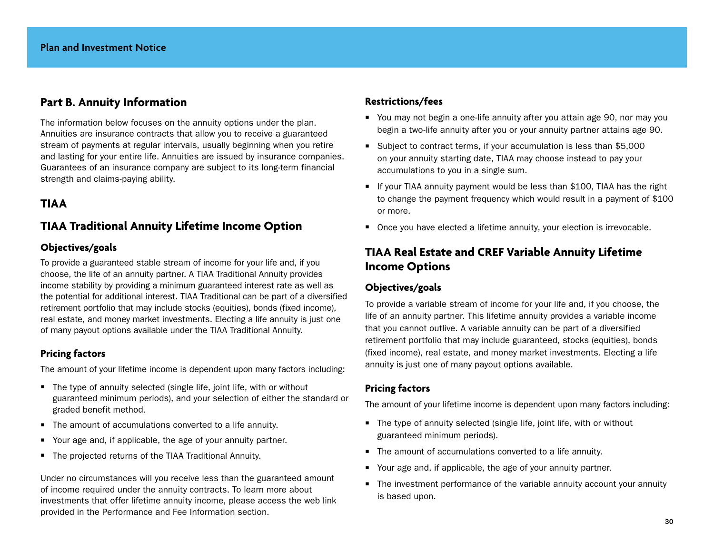## **Part B. Annuity Information**

The information below focuses on the annuity options under the plan. Annuities are insurance contracts that allow you to receive a guaranteed stream of payments at regular intervals, usually beginning when you retire and lasting for your entire life. Annuities are issued by insurance companies. Guarantees of an insurance company are subject to its long-term financial strength and claims-paying ability.

## **TIAA**

## **TIAA Traditional Annuity Lifetime Income Option**

## **Objectives/goals**

To provide a guaranteed stable stream of income for your life and, if you choose, the life of an annuity partner. A TIAA Traditional Annuity provides income stability by providing a minimum guaranteed interest rate as well as the potential for additional interest. TIAA Traditional can be part of a diversified retirement portfolio that may include stocks (equities), bonds (fixed income), real estate, and money market investments. Electing a life annuity is just one of many payout options available under the TIAA Traditional Annuity.

## **Pricing factors**

The amount of your lifetime income is dependent upon many factors including:

- $\blacksquare$  The type of annuity selected (single life, joint life, with or without guaranteed minimum periods), and your selection of either the standard or graded benefit method.
- $\blacksquare$  The amount of accumulations converted to a life annuity.
- Your age and, if applicable, the age of your annuity partner.
- The projected returns of the TIAA Traditional Annuity.

Under no circumstances will you receive less than the guaranteed amount of income required under the annuity contracts. To learn more about investments that offer lifetime annuity income, please access the web link provided in the Performance and Fee Information section.

## **Restrictions/fees**

- You may not begin a one-life annuity after you attain age 90, nor may you begin a two-life annuity after you or your annuity partner attains age 90.
- Subject to contract terms, if your accumulation is less than \$5,000 on your annuity starting date, TIAA may choose instead to pay your accumulations to you in a single sum.
- $\blacksquare$  If your TIAA annuity payment would be less than \$100, TIAA has the right to change the payment frequency which would result in a payment of \$100 or more.
- Once you have elected a lifetime annuity, your election is irrevocable.

# **TIAA Real Estate and CREF Variable Annuity Lifetime Income Options**

## **Objectives/goals**

To provide a variable stream of income for your life and, if you choose, the life of an annuity partner. This lifetime annuity provides a variable income that you cannot outlive. A variable annuity can be part of a diversified retirement portfolio that may include guaranteed, stocks (equities), bonds (fixed income), real estate, and money market investments. Electing a life annuity is just one of many payout options available.

## **Pricing factors**

The amount of your lifetime income is dependent upon many factors including:

- $\blacksquare$  The type of annuity selected (single life, joint life, with or without guaranteed minimum periods).
- $\blacksquare$  The amount of accumulations converted to a life annuity.
- Your age and, if applicable, the age of your annuity partner.
- The investment performance of the variable annuity account your annuity is based upon.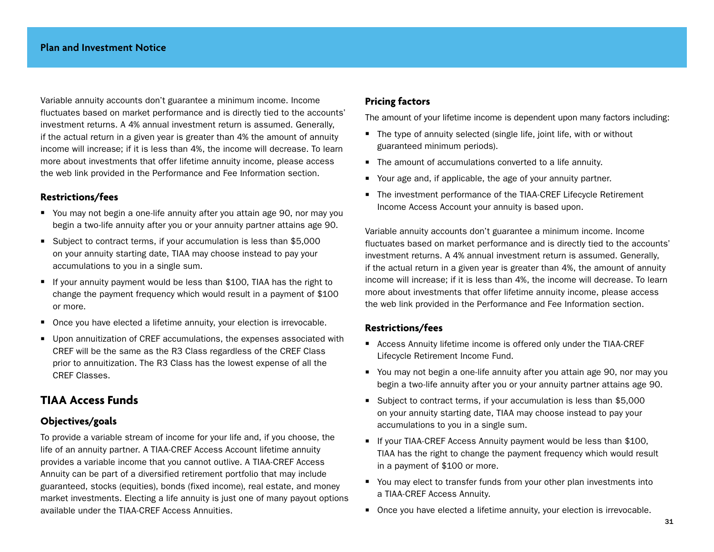Variable annuity accounts don't guarantee a minimum income. Income fluctuates based on market performance and is directly tied to the accounts' investment returns. A 4% annual investment return is assumed. Generally, if the actual return in a given year is greater than 4% the amount of annuity income will increase; if it is less than 4%, the income will decrease. To learn more about investments that offer lifetime annuity income, please access the web link provided in the Performance and Fee Information section.

## **Restrictions/fees**

- You may not begin a one-life annuity after you attain age 90, nor may you begin a two-life annuity after you or your annuity partner attains age 90.
- Subject to contract terms, if your accumulation is less than \$5,000 on your annuity starting date, TIAA may choose instead to pay your accumulations to you in a single sum.
- $\blacksquare$  If your annuity payment would be less than \$100, TIAA has the right to change the payment frequency which would result in a payment of \$100 or more.
- Once you have elected a lifetime annuity, your election is irrevocable.
- **Upon annuitization of CREF accumulations, the expenses associated with** CREF will be the same as the R3 Class regardless of the CREF Class prior to annuitization. The R3 Class has the lowest expense of all the CREF Classes.

## **TIAA Access Funds**

## **Objectives/goals**

To provide a variable stream of income for your life and, if you choose, the life of an annuity partner. A TIAA-CREF Access Account lifetime annuity provides a variable income that you cannot outlive. A TIAA-CREF Access Annuity can be part of a diversified retirement portfolio that may include guaranteed, stocks (equities), bonds (fixed income), real estate, and money market investments. Electing a life annuity is just one of many payout options available under the TIAA-CREF Access Annuities.

#### **Pricing factors**

The amount of your lifetime income is dependent upon many factors including:

- $\blacksquare$  The type of annuity selected (single life, joint life, with or without guaranteed minimum periods).
- $\blacksquare$  The amount of accumulations converted to a life annuity.
- Your age and, if applicable, the age of your annuity partner.
- The investment performance of the TIAA-CREF Lifecycle Retirement Income Access Account your annuity is based upon.

Variable annuity accounts don't guarantee a minimum income. Income fluctuates based on market performance and is directly tied to the accounts' investment returns. A 4% annual investment return is assumed. Generally, if the actual return in a given year is greater than 4%, the amount of annuity income will increase; if it is less than 4%, the income will decrease. To learn more about investments that offer lifetime annuity income, please access the web link provided in the Performance and Fee Information section.

#### **Restrictions/fees**

- Access Annuity lifetime income is offered only under the TIAA-CREF Lifecycle Retirement Income Fund.
- You may not begin a one-life annuity after you attain age 90, nor may you begin a two-life annuity after you or your annuity partner attains age 90.
- Subject to contract terms, if your accumulation is less than \$5,000 on your annuity starting date, TIAA may choose instead to pay your accumulations to you in a single sum.
- $\blacksquare$  If your TIAA-CREF Access Annuity payment would be less than \$100, TIAA has the right to change the payment frequency which would result in a payment of \$100 or more.
- You may elect to transfer funds from your other plan investments into a TIAA-CREF Access Annuity.
- Once you have elected a lifetime annuity, your election is irrevocable.